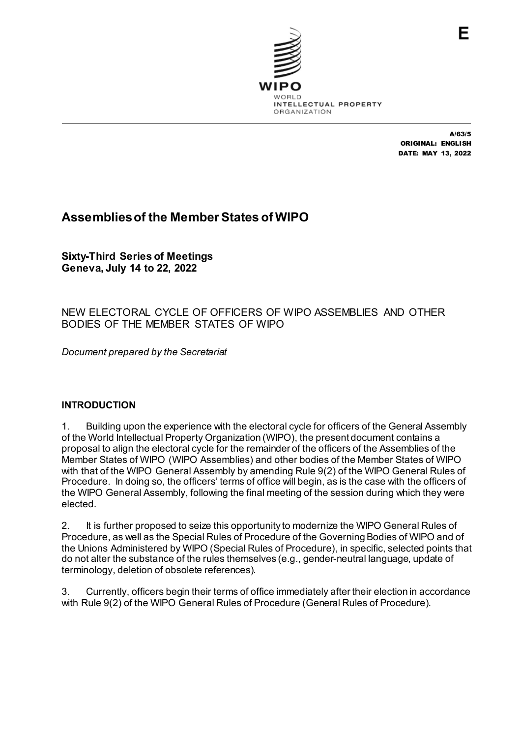

A/63/5 ORIGINAL: ENGLISH DATE: MAY 13, 2022

# **Assemblies of the Member States of WIPO**

**Sixty-Third Series of Meetings Geneva, July 14 to 22, 2022**

# NEW ELECTORAL CYCLE OF OFFICERS OF WIPO ASSEMBLIES AND OTHER BODIES OF THE MEMBER STATES OF WIPO

*Document prepared by the Secretariat*

# **INTRODUCTION**

1. Building upon the experience with the electoral cycle for officers of the General Assembly of the World Intellectual Property Organization (WIPO), the present document contains a proposal to align the electoral cycle for the remainder of the officers of the Assemblies of the Member States of WIPO (WIPO Assemblies) and other bodies of the Member States of WIPO with that of the WIPO General Assembly by amending Rule 9(2) of the WIPO General Rules of Procedure. In doing so, the officers' terms of office will begin, as is the case with the officers of the WIPO General Assembly, following the final meeting of the session during which they were elected.

2. It is further proposed to seize this opportunity to modernize the WIPO General Rules of Procedure, as well as the Special Rules of Procedure of the Governing Bodies of WIPO and of the Unions Administered by WIPO (Special Rules of Procedure), in specific, selected points that do not alter the substance of the rules themselves (e.g., gender-neutral language, update of terminology, deletion of obsolete references).

3. Currently, officers begin their terms of office immediately after their election in accordance with Rule 9(2) of the WIPO General Rules of Procedure (General Rules of Procedure).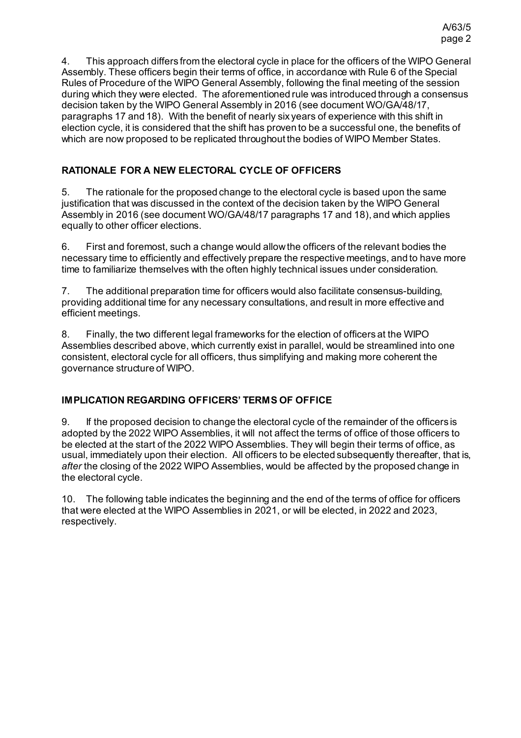4. This approach differs from the electoral cycle in place for the officers of the WIPO General Assembly. These officers begin their terms of office, in accordance with Rule 6 of the Special Rules of Procedure of the WIPO General Assembly, following the final meeting of the session during which they were elected. The aforementioned rule was introduced through a consensus decision taken by the WIPO General Assembly in 2016 (see document WO/GA/48/17, paragraphs 17 and 18). With the benefit of nearly six years of experience with this shift in election cycle, it is considered that the shift has proven to be a successful one, the benefits of which are now proposed to be replicated throughout the bodies of WIPO Member States.

# **RATIONALE FOR A NEW ELECTORAL CYCLE OF OFFICERS**

5. The rationale for the proposed change to the electoral cycle is based upon the same justification that was discussed in the context of the decision taken by the WIPO General Assembly in 2016 (see document WO/GA/48/17 paragraphs 17 and 18), and which applies equally to other officer elections.

6. First and foremost, such a change would allow the officers of the relevant bodies the necessary time to efficiently and effectively prepare the respective meetings, and to have more time to familiarize themselves with the often highly technical issues under consideration.

7. The additional preparation time for officers would also facilitate consensus-building, providing additional time for any necessary consultations, and result in more effective and efficient meetings.

8. Finally, the two different legal frameworks for the election of officers at the WIPO Assemblies described above, which currently exist in parallel, would be streamlined into one consistent, electoral cycle for all officers, thus simplifying and making more coherent the governance structure of WIPO.

# **IMPLICATION REGARDING OFFICERS' TERMS OF OFFICE**

9. If the proposed decision to change the electoral cycle of the remainder of the officers is adopted by the 2022 WIPO Assemblies, it will not affect the terms of office of those officers to be elected at the start of the 2022 WIPO Assemblies. They will begin their terms of office, as usual, immediately upon their election. All officers to be elected subsequently thereafter, that is, *after* the closing of the 2022 WIPO Assemblies, would be affected by the proposed change in the electoral cycle.

10. The following table indicates the beginning and the end of the terms of office for officers that were elected at the WIPO Assemblies in 2021, or will be elected, in 2022 and 2023, respectively.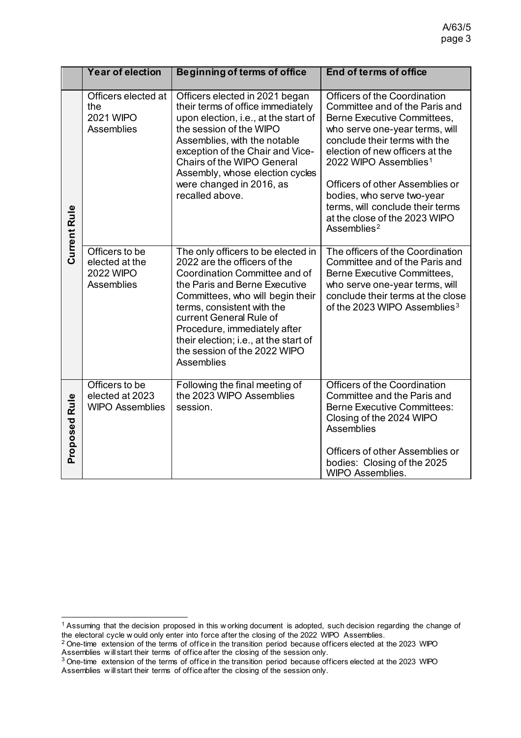|                      | Year of election                                                          | <b>Beginning of terms of office</b>                                                                                                                                                                                                                                                                                                                      | <b>End of terms of office</b>                                                                                                                                                                                                                                                                                                                                                                             |
|----------------------|---------------------------------------------------------------------------|----------------------------------------------------------------------------------------------------------------------------------------------------------------------------------------------------------------------------------------------------------------------------------------------------------------------------------------------------------|-----------------------------------------------------------------------------------------------------------------------------------------------------------------------------------------------------------------------------------------------------------------------------------------------------------------------------------------------------------------------------------------------------------|
| Current Rule         | Officers elected at<br>the<br><b>2021 WIPO</b><br><b>Assemblies</b>       | Officers elected in 2021 began<br>their terms of office immediately<br>upon election, i.e., at the start of<br>the session of the WIPO<br>Assemblies, with the notable<br>exception of the Chair and Vice-<br><b>Chairs of the WIPO General</b><br>Assembly, whose election cycles<br>were changed in 2016, as<br>recalled above.                        | Officers of the Coordination<br>Committee and of the Paris and<br>Berne Executive Committees,<br>who serve one-year terms, will<br>conclude their terms with the<br>election of new officers at the<br>2022 WIPO Assemblies <sup>1</sup><br>Officers of other Assemblies or<br>bodies, who serve two-year<br>terms, will conclude their terms<br>at the close of the 2023 WIPO<br>Assemblies <sup>2</sup> |
|                      | Officers to be<br>elected at the<br><b>2022 WIPO</b><br><b>Assemblies</b> | The only officers to be elected in<br>2022 are the officers of the<br>Coordination Committee and of<br>the Paris and Berne Executive<br>Committees, who will begin their<br>terms, consistent with the<br>current General Rule of<br>Procedure, immediately after<br>their election; i.e., at the start of<br>the session of the 2022 WIPO<br>Assemblies | The officers of the Coordination<br>Committee and of the Paris and<br><b>Berne Executive Committees,</b><br>who serve one-year terms, will<br>conclude their terms at the close<br>of the 2023 WIPO Assemblies <sup>3</sup>                                                                                                                                                                               |
| <b>Proposed Rule</b> | Officers to be<br>elected at 2023<br><b>WIPO Assemblies</b>               | Following the final meeting of<br>the 2023 WIPO Assemblies<br>session.                                                                                                                                                                                                                                                                                   | <b>Officers of the Coordination</b><br>Committee and the Paris and<br><b>Berne Executive Committees:</b><br>Closing of the 2024 WIPO<br><b>Assemblies</b><br>Officers of other Assemblies or<br>bodies: Closing of the 2025<br>WIPO Assemblies.                                                                                                                                                           |

<span id="page-2-0"></span><sup>&</sup>lt;sup>1</sup> Assuming that the decision proposed in this w orking document is adopted, such decision regarding the change of the electoral cycle w ould only enter into force after the closing of the 2022 WIPO Assemblies. 2 One-time extension of the terms of office in the transition period because officers elected at the 2023 WIPO

<span id="page-2-1"></span>Assemblies w ill start their terms of office after the closing of the session only.

<span id="page-2-2"></span> $3$  One-time extension of the terms of office in the transition period because officers elected at the 2023 WIPO Assemblies w ill start their terms of office after the closing of the session only.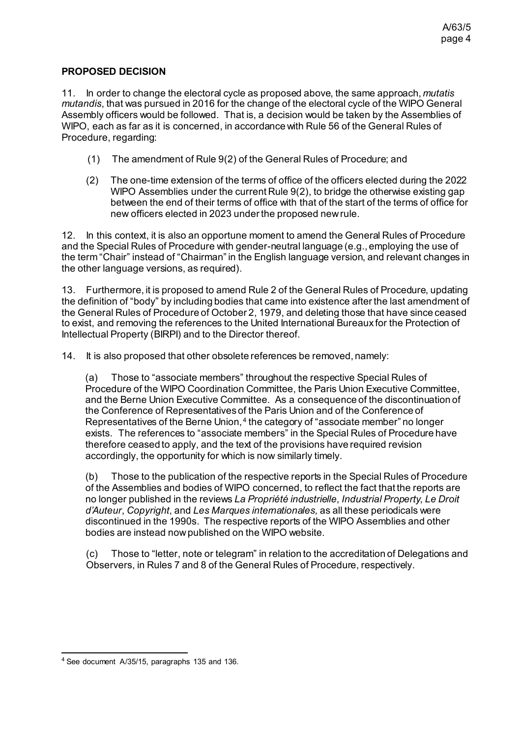# **PROPOSED DECISION**

11. In order to change the electoral cycle as proposed above, the same approach, *mutatis mutandis*, that was pursued in 2016 for the change of the electoral cycle of the WIPO General Assembly officers would be followed. That is, a decision would be taken by the Assemblies of WIPO, each as far as it is concerned, in accordance with Rule 56 of the General Rules of Procedure, regarding:

- (1) The amendment of Rule 9(2) of the General Rules of Procedure; and
- (2) The one-time extension of the terms of office of the officers elected during the 2022 WIPO Assemblies under the current Rule 9(2), to bridge the otherwise existing gap between the end of their terms of office with that of the start of the terms of office for new officers elected in 2023 under the proposed new rule.

12. In this context, it is also an opportune moment to amend the General Rules of Procedure and the Special Rules of Procedure with gender-neutral language (e.g., employing the use of the term "Chair" instead of "Chairman" in the English language version, and relevant changes in the other language versions, as required).

13. Furthermore, it is proposed to amend Rule 2 of the General Rules of Procedure, updating the definition of "body" by including bodies that came into existence after the last amendment of the General Rules of Procedure of October 2, 1979, and deleting those that have since ceased to exist, and removing the references to the United International Bureaux for the Protection of Intellectual Property (BIRPI) and to the Director thereof.

14. It is also proposed that other obsolete references be removed, namely:

(a) Those to "associate members" throughout the respective Special Rules of Procedure of the WIPO Coordination Committee, the Paris Union Executive Committee, and the Berne Union Executive Committee. As a consequence of the discontinuation of the Conference of Representatives of the Paris Union and of the Conference of Representatives of the Berne Union, [4](#page-3-0) the category of "associate member" no longer exists. The references to "associate members" in the Special Rules of Procedure have therefore ceased to apply, and the text of the provisions have required revision accordingly, the opportunity for which is now similarly timely.

(b) Those to the publication of the respective reports in the Special Rules of Procedure of the Assemblies and bodies of WIPO concerned, to reflect the fact that the reports are no longer published in the reviews *La Propriété industrielle*, *Industrial Property*, *Le Droit d'Auteur*, *Copyright*, and *Les Marques internationales,* as all these periodicals were discontinued in the 1990s. The respective reports of the WIPO Assemblies and other bodies are instead now published on the WIPO website.

(c) Those to "letter, note or telegram" in relation to the accreditation of Delegations and Observers, in Rules 7 and 8 of the General Rules of Procedure, respectively.

<span id="page-3-0"></span> <sup>4</sup> See document A/35/15, paragraphs 135 and 136.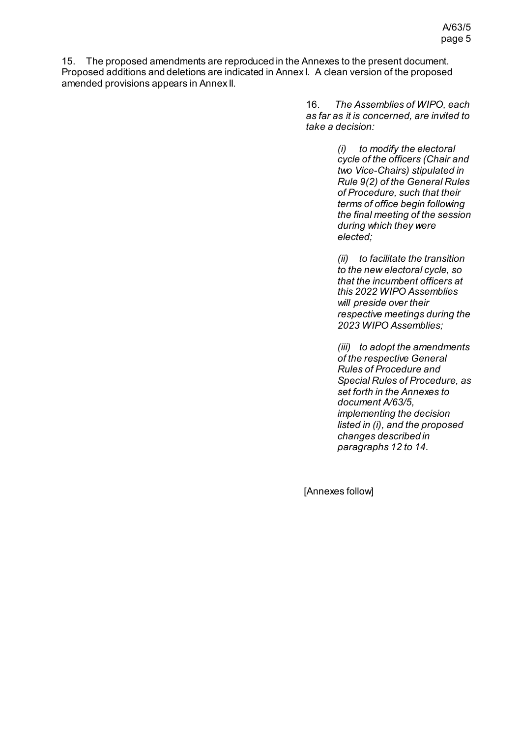15. The proposed amendments are reproduced in the Annexes to the present document. Proposed additions and deletions are indicated in Annex I. A clean version of the proposed amended provisions appears in Annex II.

> 16. *The Assemblies of WIPO, each as far as it is concerned, are invited to take a decision:*

> > *(i) to modify the electoral cycle of the officers (Chair and two Vice-Chairs) stipulated in Rule 9(2) of the General Rules of Procedure, such that their terms of office begin following the final meeting of the session during which they were elected;*

> > *(ii) to facilitate the transition to the new electoral cycle, so that the incumbent officers at this 2022 WIPO Assemblies will preside over their respective meetings during the 2023 WIPO Assemblies;*

> > *(iii) to adopt the amendments of the respective General Rules of Procedure and Special Rules of Procedure, as set forth in the Annexes to document A/63/5, implementing the decision listed in (i), and the proposed changes described in paragraphs 12 to 14.*

[Annexes follow]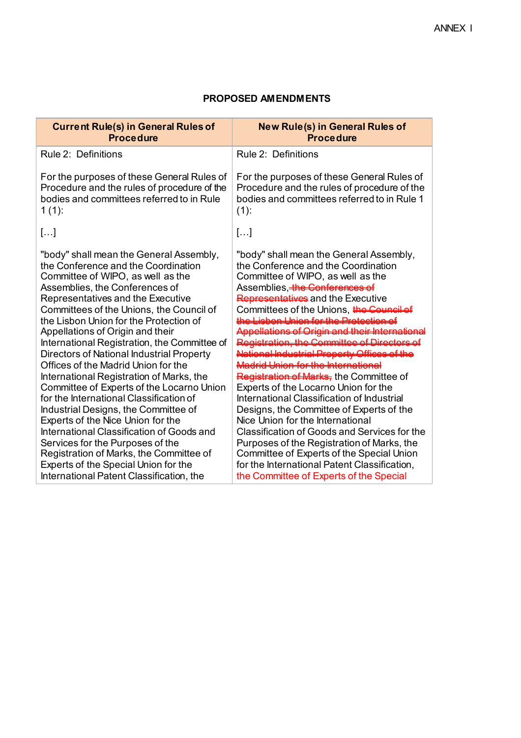## **PROPOSED AMENDMENTS**

| <b>Current Rule(s) in General Rules of</b><br><b>Procedure</b>                                                                                                                                                                                                                                                                                                                                                                                                                                                                                                                                                                                                                                                                                                                                                                                | <b>New Rule(s) in General Rules of</b><br><b>Procedure</b>                                                                                                                                                                                                                                                                                                                                                                                                                                                                                                                                                                                                                                                          |
|-----------------------------------------------------------------------------------------------------------------------------------------------------------------------------------------------------------------------------------------------------------------------------------------------------------------------------------------------------------------------------------------------------------------------------------------------------------------------------------------------------------------------------------------------------------------------------------------------------------------------------------------------------------------------------------------------------------------------------------------------------------------------------------------------------------------------------------------------|---------------------------------------------------------------------------------------------------------------------------------------------------------------------------------------------------------------------------------------------------------------------------------------------------------------------------------------------------------------------------------------------------------------------------------------------------------------------------------------------------------------------------------------------------------------------------------------------------------------------------------------------------------------------------------------------------------------------|
| Rule 2: Definitions                                                                                                                                                                                                                                                                                                                                                                                                                                                                                                                                                                                                                                                                                                                                                                                                                           | Rule 2: Definitions                                                                                                                                                                                                                                                                                                                                                                                                                                                                                                                                                                                                                                                                                                 |
| For the purposes of these General Rules of<br>Procedure and the rules of procedure of the<br>bodies and committees referred to in Rule<br>$1(1)$ :                                                                                                                                                                                                                                                                                                                                                                                                                                                                                                                                                                                                                                                                                            | For the purposes of these General Rules of<br>Procedure and the rules of procedure of the<br>bodies and committees referred to in Rule 1<br>$(1)$ :                                                                                                                                                                                                                                                                                                                                                                                                                                                                                                                                                                 |
| []                                                                                                                                                                                                                                                                                                                                                                                                                                                                                                                                                                                                                                                                                                                                                                                                                                            | []                                                                                                                                                                                                                                                                                                                                                                                                                                                                                                                                                                                                                                                                                                                  |
| "body" shall mean the General Assembly,<br>the Conference and the Coordination<br>Committee of WIPO, as well as the<br>Assemblies, the Conferences of<br>Representatives and the Executive<br>Committees of the Unions, the Council of<br>the Lisbon Union for the Protection of<br>Appellations of Origin and their<br>International Registration, the Committee of<br>Directors of National Industrial Property<br>Offices of the Madrid Union for the<br>International Registration of Marks, the<br>Committee of Experts of the Locarno Union<br>for the International Classification of<br>Industrial Designs, the Committee of<br>Experts of the Nice Union for the<br>International Classification of Goods and<br>Services for the Purposes of the<br>Registration of Marks, the Committee of<br>Experts of the Special Union for the | "body" shall mean the General Assembly,<br>the Conference and the Coordination<br>Committee of WIPO, as well as the<br>Assemblies, the Conferences of<br>Representatives and the Executive<br>Committees of the Unions, the Council of<br><u>a Lighan Llnian for the Protectio</u><br>the International<br>Registration of Marks, the Committee of<br>Experts of the Locarno Union for the<br>International Classification of Industrial<br>Designs, the Committee of Experts of the<br>Nice Union for the International<br>Classification of Goods and Services for the<br>Purposes of the Registration of Marks, the<br>Committee of Experts of the Special Union<br>for the International Patent Classification, |
| International Patent Classification, the                                                                                                                                                                                                                                                                                                                                                                                                                                                                                                                                                                                                                                                                                                                                                                                                      | the Committee of Experts of the Special                                                                                                                                                                                                                                                                                                                                                                                                                                                                                                                                                                                                                                                                             |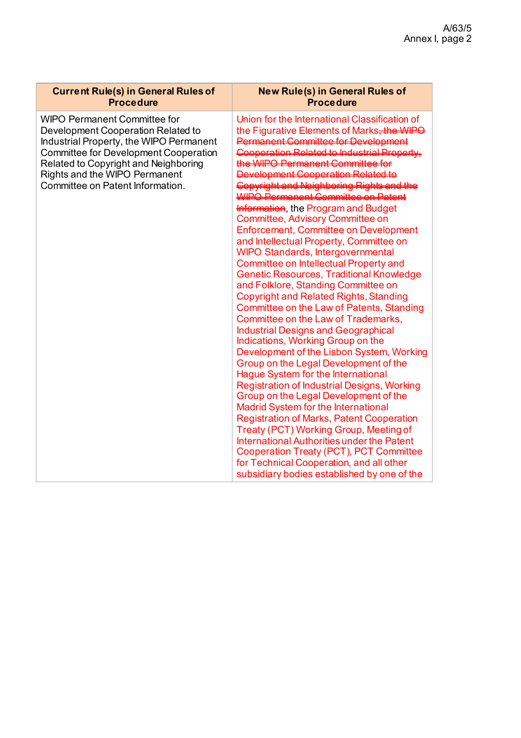| <b>Current Rule(s) in General Rules of</b><br><b>Procedure</b>                                                                                                                                                                                                                    | <b>New Rule(s) in General Rules of</b><br><b>Procedure</b>                                                                                                                                                                                                                                                                                                                                                                                                                                                                                                                                                                                                                                                                      |
|-----------------------------------------------------------------------------------------------------------------------------------------------------------------------------------------------------------------------------------------------------------------------------------|---------------------------------------------------------------------------------------------------------------------------------------------------------------------------------------------------------------------------------------------------------------------------------------------------------------------------------------------------------------------------------------------------------------------------------------------------------------------------------------------------------------------------------------------------------------------------------------------------------------------------------------------------------------------------------------------------------------------------------|
| <b>WIPO Permanent Committee for</b><br>Development Cooperation Related to<br>Industrial Property, the WIPO Permanent<br><b>Committee for Development Cooperation</b><br>Related to Copyright and Neighboring<br>Rights and the WIPO Permanent<br>Committee on Patent Information. | Union for the International Classification of<br>the Figurative Elements of Marks, the WIPO<br><b>Permanent Committee for Development</b><br><b>Information</b> , the Program and Budget<br>Committee, Advisory Committee on<br><b>Enforcement, Committee on Development</b><br>and Intellectual Property, Committee on<br><b>WIPO Standards, Intergovernmental</b><br>Committee on Intellectual Property and<br><b>Genetic Resources, Traditional Knowledge</b><br>and Folklore, Standing Committee on<br><b>Copyright and Related Rights, Standing</b><br>Committee on the Law of Patents, Standing<br>Committee on the Law of Trademarks,<br><b>Industrial Designs and Geographical</b><br>Indications, Working Group on the |
|                                                                                                                                                                                                                                                                                   | Development of the Lisbon System, Working<br>Group on the Legal Development of the<br>Hague System for the International                                                                                                                                                                                                                                                                                                                                                                                                                                                                                                                                                                                                        |
|                                                                                                                                                                                                                                                                                   | <b>Registration of Industrial Designs, Working</b><br>Group on the Legal Development of the<br><b>Madrid System for the International</b>                                                                                                                                                                                                                                                                                                                                                                                                                                                                                                                                                                                       |
|                                                                                                                                                                                                                                                                                   | <b>Registration of Marks, Patent Cooperation</b><br>Treaty (PCT) Working Group, Meeting of<br>International Authorities under the Patent<br><b>Cooperation Treaty (PCT), PCT Committee</b>                                                                                                                                                                                                                                                                                                                                                                                                                                                                                                                                      |
|                                                                                                                                                                                                                                                                                   | for Technical Cooperation, and all other<br>subsidiary bodies established by one of the                                                                                                                                                                                                                                                                                                                                                                                                                                                                                                                                                                                                                                         |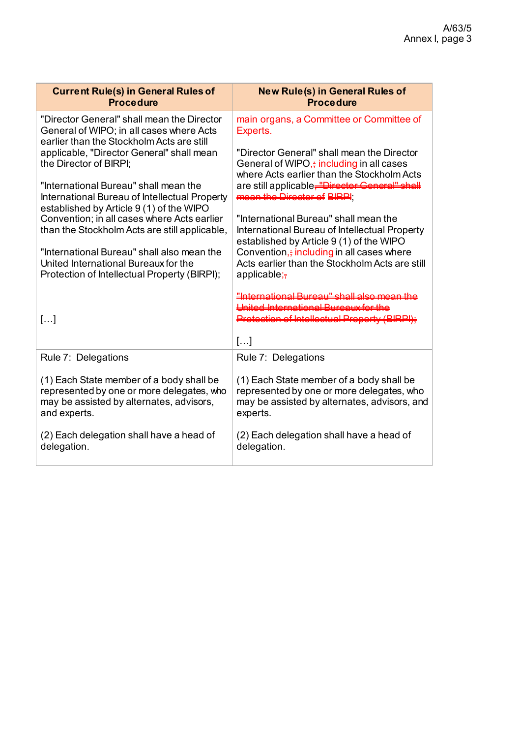| <b>Current Rule(s) in General Rules of</b><br><b>Procedure</b>                                                                                    | <b>New Rule(s) in General Rules of</b><br><b>Procedure</b>                                                                                        |
|---------------------------------------------------------------------------------------------------------------------------------------------------|---------------------------------------------------------------------------------------------------------------------------------------------------|
| "Director General" shall mean the Director<br>General of WIPO; in all cases where Acts<br>earlier than the Stockholm Acts are still               | main organs, a Committee or Committee of<br>Experts.                                                                                              |
| applicable, "Director General" shall mean<br>the Director of BIRPI:                                                                               | "Director General" shall mean the Director<br>General of WIPO, $\frac{1}{2}$ including in all cases<br>where Acts earlier than the Stockholm Acts |
| "International Bureau" shall mean the<br>International Bureau of Intellectual Property<br>established by Article 9 (1) of the WIPO                | are still applicable, "Director General" shall<br>mean the Director of BIRPI                                                                      |
| Convention; in all cases where Acts earlier<br>than the Stockholm Acts are still applicable,                                                      | "International Bureau" shall mean the<br>International Bureau of Intellectual Property<br>established by Article 9 (1) of the WIPO                |
| "International Bureau" shall also mean the<br>United International Bureaux for the<br>Protection of Intellectual Property (BIRPI);                | Convention, $\frac{1}{2}$ including in all cases where<br>Acts earlier than the Stockholm Acts are still<br>applicable; $\frac{1}{7}$             |
|                                                                                                                                                   | مولم المطور البيوميييا المعمز المعامليا المستحدث<br><b>Haited International Rureaux for the</b>                                                   |
| []                                                                                                                                                | Protection of Intellectual Property (BIRPI);                                                                                                      |
|                                                                                                                                                   | $\left[\ldots\right]$                                                                                                                             |
| Rule 7: Delegations                                                                                                                               | Rule 7: Delegations                                                                                                                               |
| (1) Each State member of a body shall be<br>represented by one or more delegates, who<br>may be assisted by alternates, advisors,<br>and experts. | (1) Each State member of a body shall be<br>represented by one or more delegates, who<br>may be assisted by alternates, advisors, and<br>experts. |
| (2) Each delegation shall have a head of<br>delegation.                                                                                           | (2) Each delegation shall have a head of<br>delegation.                                                                                           |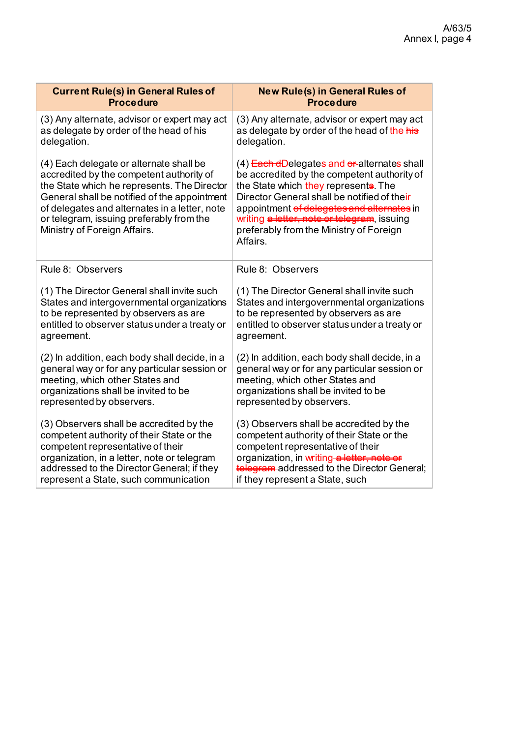| <b>Current Rule(s) in General Rules of</b>                                                                                                                                                                                                                                                                      | <b>New Rule(s) in General Rules of</b>                                                                                                                                                                                                                                                                                               |
|-----------------------------------------------------------------------------------------------------------------------------------------------------------------------------------------------------------------------------------------------------------------------------------------------------------------|--------------------------------------------------------------------------------------------------------------------------------------------------------------------------------------------------------------------------------------------------------------------------------------------------------------------------------------|
| <b>Procedure</b>                                                                                                                                                                                                                                                                                                | <b>Procedure</b>                                                                                                                                                                                                                                                                                                                     |
| (3) Any alternate, advisor or expert may act                                                                                                                                                                                                                                                                    | (3) Any alternate, advisor or expert may act                                                                                                                                                                                                                                                                                         |
| as delegate by order of the head of his                                                                                                                                                                                                                                                                         | as delegate by order of the head of the his                                                                                                                                                                                                                                                                                          |
| delegation.                                                                                                                                                                                                                                                                                                     | delegation.                                                                                                                                                                                                                                                                                                                          |
| (4) Each delegate or alternate shall be<br>accredited by the competent authority of<br>the State which he represents. The Director<br>General shall be notified of the appointment<br>of delegates and alternates in a letter, note<br>or telegram, issuing preferably from the<br>Ministry of Foreign Affairs. | (4) Esch dDelegates and eralternates shall<br>be accredited by the competent authority of<br>the State which they represents. The<br>Director General shall be notified of their<br>appointment of delegates and alternates in<br>writing a letter, note or telegram, issuing<br>preferably from the Ministry of Foreign<br>Affairs. |
| Rule 8: Observers                                                                                                                                                                                                                                                                                               | Rule 8: Observers                                                                                                                                                                                                                                                                                                                    |
| (1) The Director General shall invite such                                                                                                                                                                                                                                                                      | (1) The Director General shall invite such                                                                                                                                                                                                                                                                                           |
| States and intergovernmental organizations                                                                                                                                                                                                                                                                      | States and intergovernmental organizations                                                                                                                                                                                                                                                                                           |
| to be represented by observers as are                                                                                                                                                                                                                                                                           | to be represented by observers as are                                                                                                                                                                                                                                                                                                |
| entitled to observer status under a treaty or                                                                                                                                                                                                                                                                   | entitled to observer status under a treaty or                                                                                                                                                                                                                                                                                        |
| agreement.                                                                                                                                                                                                                                                                                                      | agreement.                                                                                                                                                                                                                                                                                                                           |
| (2) In addition, each body shall decide, in a                                                                                                                                                                                                                                                                   | (2) In addition, each body shall decide, in a                                                                                                                                                                                                                                                                                        |
| general way or for any particular session or                                                                                                                                                                                                                                                                    | general way or for any particular session or                                                                                                                                                                                                                                                                                         |
| meeting, which other States and                                                                                                                                                                                                                                                                                 | meeting, which other States and                                                                                                                                                                                                                                                                                                      |
| organizations shall be invited to be                                                                                                                                                                                                                                                                            | organizations shall be invited to be                                                                                                                                                                                                                                                                                                 |
| represented by observers.                                                                                                                                                                                                                                                                                       | represented by observers.                                                                                                                                                                                                                                                                                                            |
| (3) Observers shall be accredited by the                                                                                                                                                                                                                                                                        | (3) Observers shall be accredited by the                                                                                                                                                                                                                                                                                             |
| competent authority of their State or the                                                                                                                                                                                                                                                                       | competent authority of their State or the                                                                                                                                                                                                                                                                                            |
| competent representative of their                                                                                                                                                                                                                                                                               | competent representative of their                                                                                                                                                                                                                                                                                                    |
| organization, in a letter, note or telegram                                                                                                                                                                                                                                                                     | organization, in writing-alletter, note or                                                                                                                                                                                                                                                                                           |
| addressed to the Director General; if they                                                                                                                                                                                                                                                                      | telegram-addressed to the Director General;                                                                                                                                                                                                                                                                                          |
| represent a State, such communication                                                                                                                                                                                                                                                                           | if they represent a State, such                                                                                                                                                                                                                                                                                                      |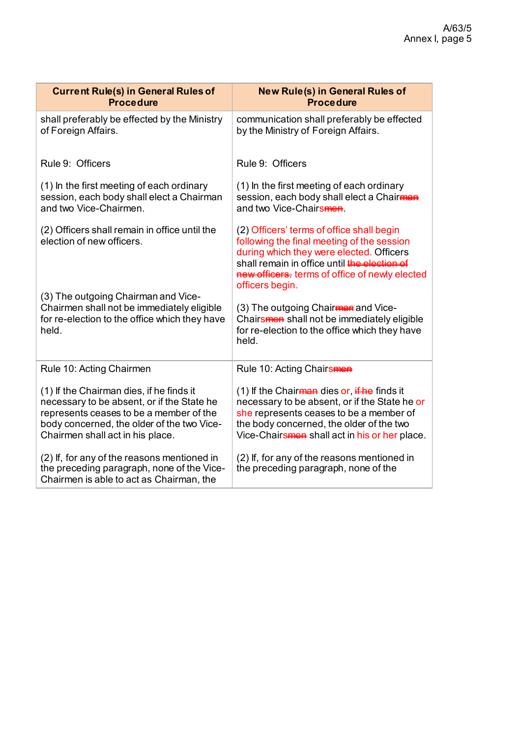| <b>Current Rule(s) in General Rules of</b>                                                                                            | <b>New Rule(s) in General Rules of</b>                                                                                                                                                                                                                   |
|---------------------------------------------------------------------------------------------------------------------------------------|----------------------------------------------------------------------------------------------------------------------------------------------------------------------------------------------------------------------------------------------------------|
| <b>Procedure</b>                                                                                                                      | <b>Procedure</b>                                                                                                                                                                                                                                         |
| shall preferably be effected by the Ministry                                                                                          | communication shall preferably be effected                                                                                                                                                                                                               |
| of Foreign Affairs.                                                                                                                   | by the Ministry of Foreign Affairs.                                                                                                                                                                                                                      |
| Rule 9: Officers                                                                                                                      | Rule 9: Officers                                                                                                                                                                                                                                         |
| (1) In the first meeting of each ordinary                                                                                             | (1) In the first meeting of each ordinary                                                                                                                                                                                                                |
| session, each body shall elect a Chairman                                                                                             | session, each body shall elect a Chairman                                                                                                                                                                                                                |
| and two Vice-Chairmen.                                                                                                                | and two Vice-Chairsmen.                                                                                                                                                                                                                                  |
| (2) Officers shall remain in office until the<br>election of new officers.                                                            | (2) Officers' terms of office shall begin<br>following the final meeting of the session<br>during which they were elected. Officers<br>shall remain in office until the election of<br>new officers. terms of office of newly elected<br>officers begin. |
| (3) The outgoing Chairman and Vice-                                                                                                   | (3) The outgoing Chairman and Vice-                                                                                                                                                                                                                      |
| Chairmen shall not be immediately eligible                                                                                            | Chairsmen shall not be immediately eligible                                                                                                                                                                                                              |
| for re-election to the office which they have                                                                                         | for re-election to the office which they have                                                                                                                                                                                                            |
| held.                                                                                                                                 | held.                                                                                                                                                                                                                                                    |
| Rule 10: Acting Chairmen                                                                                                              | Rule 10: Acting Chairsmen                                                                                                                                                                                                                                |
| (1) If the Chairman dies, if he finds it                                                                                              | (1) If the Chair <del>man</del> dies or, if he finds it                                                                                                                                                                                                  |
| necessary to be absent, or if the State he                                                                                            | necessary to be absent, or if the State he or                                                                                                                                                                                                            |
| represents ceases to be a member of the                                                                                               | she represents ceases to be a member of                                                                                                                                                                                                                  |
| body concerned, the older of the two Vice-                                                                                            | the body concerned, the older of the two                                                                                                                                                                                                                 |
| Chairmen shall act in his place.                                                                                                      | Vice-Chairsmen shall act in his or her place.                                                                                                                                                                                                            |
| (2) If, for any of the reasons mentioned in<br>the preceding paragraph, none of the Vice-<br>Chairmen is able to act as Chairman, the | (2) If, for any of the reasons mentioned in<br>the preceding paragraph, none of the                                                                                                                                                                      |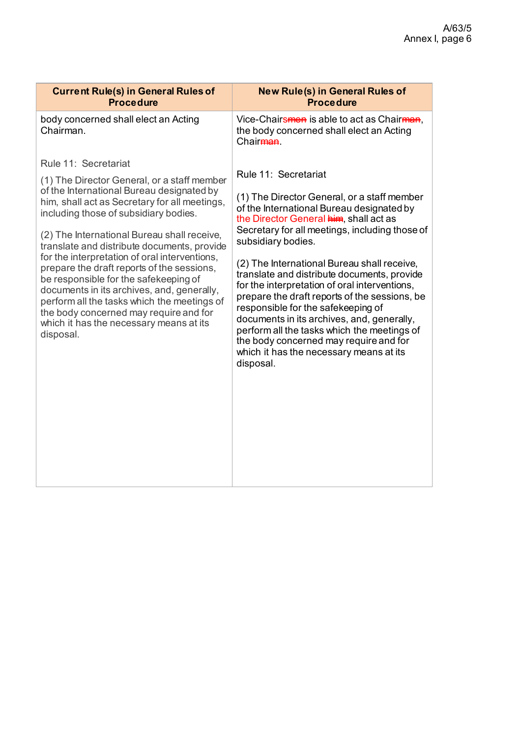| <b>New Rule(s) in General Rules of</b><br><b>Procedure</b>                                                                                                                                                                                                                                                                                                                                                                                                                                                                                                                                                                                                              |
|-------------------------------------------------------------------------------------------------------------------------------------------------------------------------------------------------------------------------------------------------------------------------------------------------------------------------------------------------------------------------------------------------------------------------------------------------------------------------------------------------------------------------------------------------------------------------------------------------------------------------------------------------------------------------|
| Vice-Chairsmen is able to act as Chairman,<br>the body concerned shall elect an Acting<br>Chair <del>man</del>                                                                                                                                                                                                                                                                                                                                                                                                                                                                                                                                                          |
| Rule 11: Secretariat<br>(1) The Director General, or a staff member<br>of the International Bureau designated by<br>the Director General him, shall act as<br>Secretary for all meetings, including those of<br>subsidiary bodies.<br>(2) The International Bureau shall receive,<br>translate and distribute documents, provide<br>for the interpretation of oral interventions,<br>prepare the draft reports of the sessions, be<br>responsible for the safekeeping of<br>documents in its archives, and, generally,<br>perform all the tasks which the meetings of<br>the body concerned may require and for<br>which it has the necessary means at its<br>disposal. |
|                                                                                                                                                                                                                                                                                                                                                                                                                                                                                                                                                                                                                                                                         |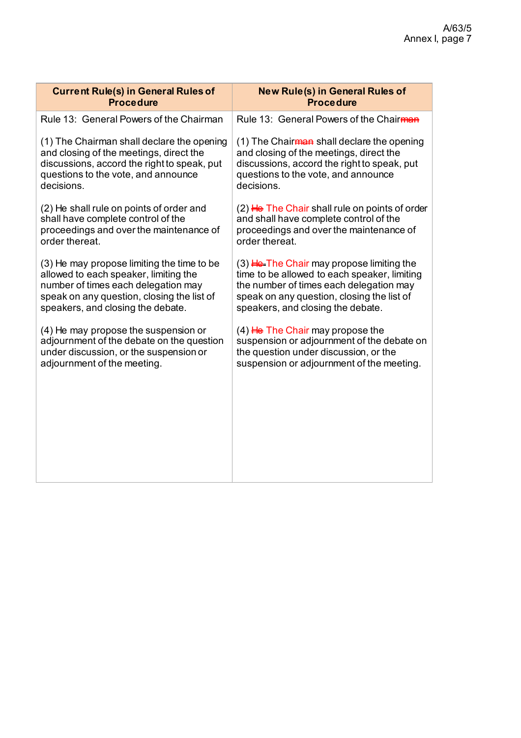| <b>Current Rule(s) in General Rules of</b>  | <b>New Rule(s) in General Rules of</b>                 |
|---------------------------------------------|--------------------------------------------------------|
| <b>Procedure</b>                            | <b>Procedure</b>                                       |
| Rule 13: General Powers of the Chairman     | Rule 13: General Powers of the Chairman                |
| (1) The Chairman shall declare the opening  | (1) The Chair <del>man</del> shall declare the opening |
| and closing of the meetings, direct the     | and closing of the meetings, direct the                |
| discussions, accord the right to speak, put | discussions, accord the right to speak, put            |
| questions to the vote, and announce         | questions to the vote, and announce                    |
| decisions.                                  | decisions.                                             |
| (2) He shall rule on points of order and    | $(2)$ He The Chair shall rule on points of order       |
| shall have complete control of the          | and shall have complete control of the                 |
| proceedings and over the maintenance of     | proceedings and over the maintenance of                |
| order thereat.                              | order thereat.                                         |
| (3) He may propose limiting the time to be  | $(3)$ He-The Chair may propose limiting the            |
| allowed to each speaker, limiting the       | time to be allowed to each speaker, limiting           |
| number of times each delegation may         | the number of times each delegation may                |
| speak on any question, closing the list of  | speak on any question, closing the list of             |
| speakers, and closing the debate.           | speakers, and closing the debate.                      |
| (4) He may propose the suspension or        | $(4)$ He The Chair may propose the                     |
| adjournment of the debate on the question   | suspension or adjournment of the debate on             |
| under discussion, or the suspension or      | the question under discussion, or the                  |
| adjournment of the meeting.                 | suspension or adjournment of the meeting.              |
|                                             |                                                        |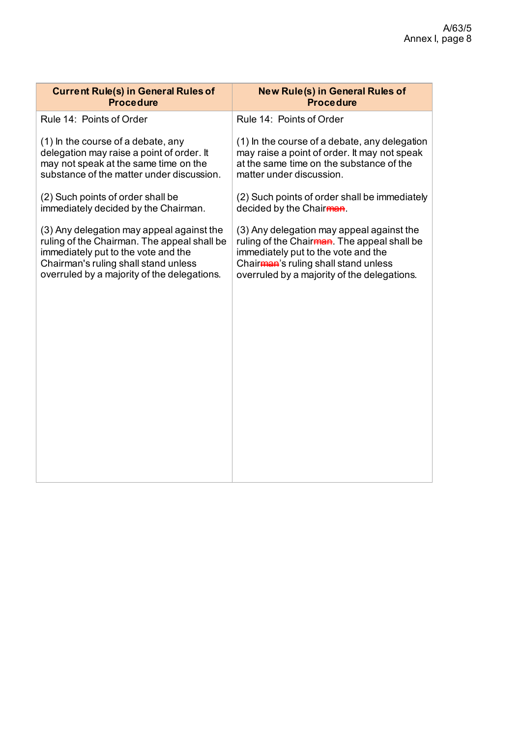| <b>Current Rule(s) in General Rules of</b>  | <b>New Rule(s) in General Rules of</b>            |
|---------------------------------------------|---------------------------------------------------|
| <b>Procedure</b>                            | <b>Procedure</b>                                  |
| Rule 14: Points of Order                    | Rule 14: Points of Order                          |
| (1) In the course of a debate, any          | (1) In the course of a debate, any delegation     |
| delegation may raise a point of order. It   | may raise a point of order. It may not speak      |
| may not speak at the same time on the       | at the same time on the substance of the          |
| substance of the matter under discussion.   | matter under discussion.                          |
| (2) Such points of order shall be           | (2) Such points of order shall be immediately     |
| immediately decided by the Chairman.        | decided by the Chairman.                          |
| (3) Any delegation may appeal against the   | (3) Any delegation may appeal against the         |
| ruling of the Chairman. The appeal shall be | ruling of the Chairman. The appeal shall be       |
| immediately put to the vote and the         | immediately put to the vote and the               |
| Chairman's ruling shall stand unless        | Chair <sub>man</sub> 's ruling shall stand unless |
| overruled by a majority of the delegations. | overruled by a majority of the delegations.       |
|                                             |                                                   |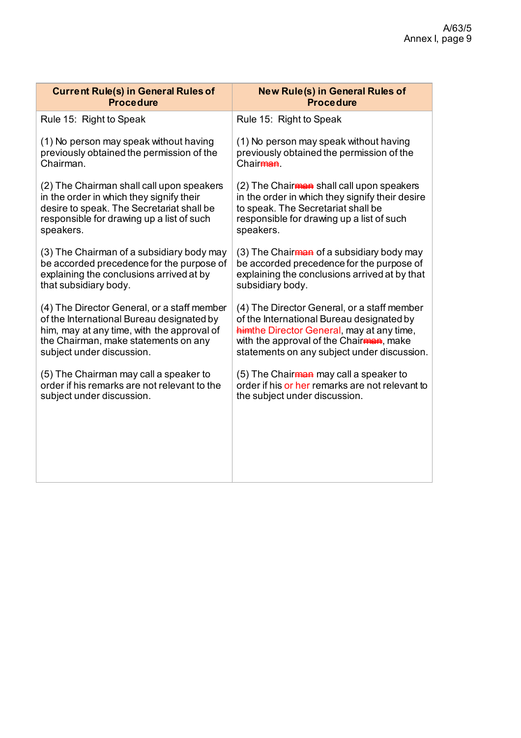| <b>Current Rule(s) in General Rules of</b>   | <b>New Rule(s) in General Rules of</b>             |
|----------------------------------------------|----------------------------------------------------|
| <b>Procedure</b>                             | <b>Procedure</b>                                   |
| Rule 15: Right to Speak                      | Rule 15: Right to Speak                            |
| (1) No person may speak without having       | (1) No person may speak without having             |
| previously obtained the permission of the    | previously obtained the permission of the          |
| Chairman.                                    | Chair <del>man</del>                               |
| (2) The Chairman shall call upon speakers    | (2) The Chairman shall call upon speakers          |
| in the order in which they signify their     | in the order in which they signify their desire    |
| desire to speak. The Secretariat shall be    | to speak. The Secretariat shall be                 |
| responsible for drawing up a list of such    | responsible for drawing up a list of such          |
| speakers.                                    | speakers.                                          |
| (3) The Chairman of a subsidiary body may    | (3) The Chairman of a subsidiary body may          |
| be accorded precedence for the purpose of    | be accorded precedence for the purpose of          |
| explaining the conclusions arrived at by     | explaining the conclusions arrived at by that      |
| that subsidiary body.                        | subsidiary body.                                   |
| (4) The Director General, or a staff member  | (4) The Director General, or a staff member        |
| of the International Bureau designated by    | of the International Bureau designated by          |
| him, may at any time, with the approval of   | him the Director General, may at any time,         |
| the Chairman, make statements on any         | with the approval of the Chairman, make            |
| subject under discussion.                    | statements on any subject under discussion.        |
| (5) The Chairman may call a speaker to       | (5) The Chair <del>man</del> may call a speaker to |
| order if his remarks are not relevant to the | order if his or her remarks are not relevant to    |
| subject under discussion.                    | the subject under discussion.                      |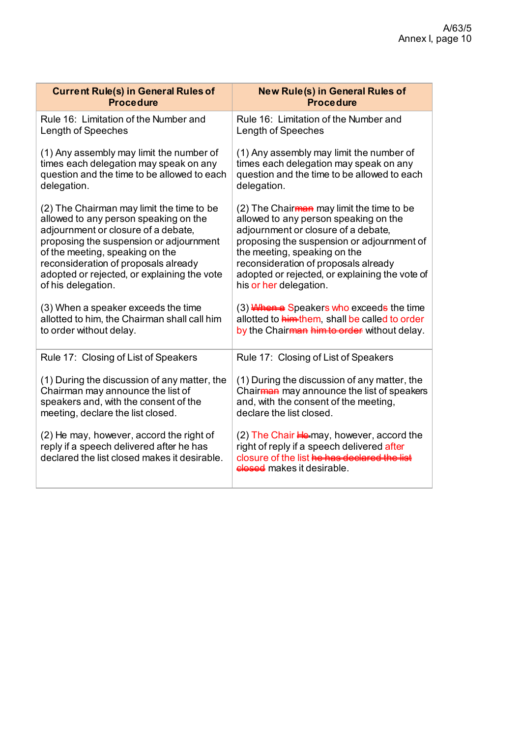| <b>Current Rule(s) in General Rules of</b>                                                                                           | <b>New Rule(s) in General Rules of</b>                                                                                                                                              |
|--------------------------------------------------------------------------------------------------------------------------------------|-------------------------------------------------------------------------------------------------------------------------------------------------------------------------------------|
| <b>Procedure</b>                                                                                                                     | <b>Procedure</b>                                                                                                                                                                    |
| Rule 16: Limitation of the Number and                                                                                                | Rule 16: Limitation of the Number and                                                                                                                                               |
| Length of Speeches                                                                                                                   | Length of Speeches                                                                                                                                                                  |
| (1) Any assembly may limit the number of                                                                                             | (1) Any assembly may limit the number of                                                                                                                                            |
| times each delegation may speak on any                                                                                               | times each delegation may speak on any                                                                                                                                              |
| question and the time to be allowed to each                                                                                          | question and the time to be allowed to each                                                                                                                                         |
| delegation.                                                                                                                          | delegation.                                                                                                                                                                         |
| (2) The Chairman may limit the time to be                                                                                            | (2) The Chairman may limit the time to be                                                                                                                                           |
| allowed to any person speaking on the                                                                                                | allowed to any person speaking on the                                                                                                                                               |
| adjournment or closure of a debate,                                                                                                  | adjournment or closure of a debate,                                                                                                                                                 |
| proposing the suspension or adjournment                                                                                              | proposing the suspension or adjournment of                                                                                                                                          |
| of the meeting, speaking on the                                                                                                      | the meeting, speaking on the                                                                                                                                                        |
| reconsideration of proposals already                                                                                                 | reconsideration of proposals already                                                                                                                                                |
| adopted or rejected, or explaining the vote                                                                                          | adopted or rejected, or explaining the vote of                                                                                                                                      |
| of his delegation.                                                                                                                   | his or her delegation.                                                                                                                                                              |
| (3) When a speaker exceeds the time                                                                                                  | (3) When a Speakers who exceeds the time                                                                                                                                            |
| allotted to him, the Chairman shall call him                                                                                         | allotted to <b>him-them</b> , shall be called to order                                                                                                                              |
| to order without delay.                                                                                                              | by the Chairman him to order without delay.                                                                                                                                         |
| Rule 17: Closing of List of Speakers                                                                                                 | Rule 17: Closing of List of Speakers                                                                                                                                                |
| (1) During the discussion of any matter, the                                                                                         | (1) During the discussion of any matter, the                                                                                                                                        |
| Chairman may announce the list of                                                                                                    | Chairman may announce the list of speakers                                                                                                                                          |
| speakers and, with the consent of the                                                                                                | and, with the consent of the meeting,                                                                                                                                               |
| meeting, declare the list closed.                                                                                                    | declare the list closed.                                                                                                                                                            |
| (2) He may, however, accord the right of<br>reply if a speech delivered after he has<br>declared the list closed makes it desirable. | $(2)$ The Chair $H_{\epsilon}$ may, however, accord the<br>right of reply if a speech delivered after<br>closure of the list he has declared the list<br>elesed makes it desirable. |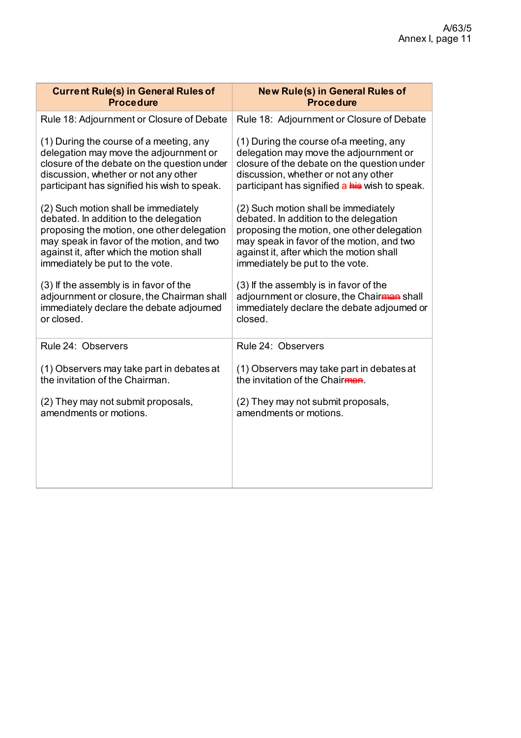| <b>Current Rule(s) in General Rules of</b>   | <b>New Rule(s) in General Rules of</b>         |
|----------------------------------------------|------------------------------------------------|
| <b>Procedure</b>                             | <b>Procedure</b>                               |
| Rule 18: Adjournment or Closure of Debate    | Rule 18: Adjournment or Closure of Debate      |
| (1) During the course of a meeting, any      | (1) During the course of a meeting, any        |
| delegation may move the adjournment or       | delegation may move the adjournment or         |
| closure of the debate on the question under  | closure of the debate on the question under    |
| discussion, whether or not any other         | discussion, whether or not any other           |
| participant has signified his wish to speak. | participant has signified a his wish to speak. |
| (2) Such motion shall be immediately         | (2) Such motion shall be immediately           |
| debated. In addition to the delegation       | debated. In addition to the delegation         |
| proposing the motion, one other delegation   | proposing the motion, one other delegation     |
| may speak in favor of the motion, and two    | may speak in favor of the motion, and two      |
| against it, after which the motion shall     | against it, after which the motion shall       |
| immediately be put to the vote.              | immediately be put to the vote.                |
| (3) If the assembly is in favor of the       | (3) If the assembly is in favor of the         |
| adjournment or closure, the Chairman shall   | adjournment or closure, the Chairman shall     |
| immediately declare the debate adjourned     | immediately declare the debate adjourned or    |
| or closed.                                   | closed.                                        |
| Rule 24: Observers                           | Rule 24: Observers                             |
| (1) Observers may take part in debates at    | (1) Observers may take part in debates at      |
| the invitation of the Chairman.              | the invitation of the Chairman.                |
| (2) They may not submit proposals,           | (2) They may not submit proposals,             |
| amendments or motions.                       | amendments or motions.                         |
|                                              |                                                |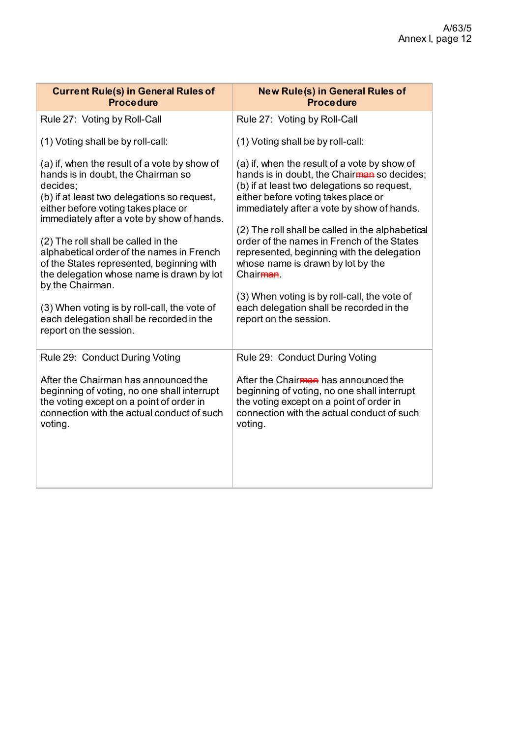| <b>Current Rule(s) in General Rules of</b><br><b>Procedure</b>                                                                                                                                                                                                                                                                                                                                                                       | <b>New Rule(s) in General Rules of</b><br><b>Procedure</b>                                                                                                                                                                                                                                                                                                                                                                                                                                   |
|--------------------------------------------------------------------------------------------------------------------------------------------------------------------------------------------------------------------------------------------------------------------------------------------------------------------------------------------------------------------------------------------------------------------------------------|----------------------------------------------------------------------------------------------------------------------------------------------------------------------------------------------------------------------------------------------------------------------------------------------------------------------------------------------------------------------------------------------------------------------------------------------------------------------------------------------|
| Rule 27: Voting by Roll-Call                                                                                                                                                                                                                                                                                                                                                                                                         | Rule 27: Voting by Roll-Call                                                                                                                                                                                                                                                                                                                                                                                                                                                                 |
| (1) Voting shall be by roll-call:                                                                                                                                                                                                                                                                                                                                                                                                    | (1) Voting shall be by roll-call:                                                                                                                                                                                                                                                                                                                                                                                                                                                            |
| (a) if, when the result of a vote by show of<br>hands is in doubt, the Chairman so<br>decides:<br>(b) if at least two delegations so request,<br>either before voting takes place or<br>immediately after a vote by show of hands.<br>(2) The roll shall be called in the<br>alphabetical order of the names in French<br>of the States represented, beginning with<br>the delegation whose name is drawn by lot<br>by the Chairman. | (a) if, when the result of a vote by show of<br>hands is in doubt, the Chairman so decides;<br>(b) if at least two delegations so request,<br>either before voting takes place or<br>immediately after a vote by show of hands.<br>(2) The roll shall be called in the alphabetical<br>order of the names in French of the States<br>represented, beginning with the delegation<br>whose name is drawn by lot by the<br>Chair <del>man</del><br>(3) When voting is by roll-call, the vote of |
| (3) When voting is by roll-call, the vote of<br>each delegation shall be recorded in the<br>report on the session.                                                                                                                                                                                                                                                                                                                   | each delegation shall be recorded in the<br>report on the session.                                                                                                                                                                                                                                                                                                                                                                                                                           |
| Rule 29: Conduct During Voting                                                                                                                                                                                                                                                                                                                                                                                                       | Rule 29: Conduct During Voting                                                                                                                                                                                                                                                                                                                                                                                                                                                               |
| After the Chairman has announced the<br>beginning of voting, no one shall interrupt<br>the voting except on a point of order in<br>connection with the actual conduct of such<br>voting.                                                                                                                                                                                                                                             | After the Chairman has announced the<br>beginning of voting, no one shall interrupt<br>the voting except on a point of order in<br>connection with the actual conduct of such<br>voting.                                                                                                                                                                                                                                                                                                     |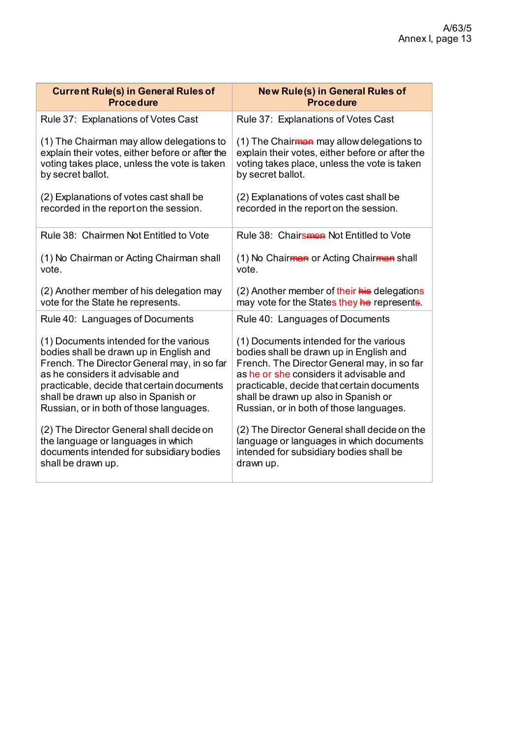| <b>Current Rule(s) in General Rules of</b>      | <b>New Rule(s) in General Rules of</b>                |
|-------------------------------------------------|-------------------------------------------------------|
| <b>Procedure</b>                                | <b>Procedure</b>                                      |
| Rule 37: Explanations of Votes Cast             | Rule 37: Explanations of Votes Cast                   |
| (1) The Chairman may allow delegations to       | (1) The Chair <del>man</del> may allow delegations to |
| explain their votes, either before or after the | explain their votes, either before or after the       |
| voting takes place, unless the vote is taken    | voting takes place, unless the vote is taken          |
| by secret ballot.                               | by secret ballot.                                     |
| (2) Explanations of votes cast shall be         | (2) Explanations of votes cast shall be               |
| recorded in the report on the session.          | recorded in the report on the session.                |
| Rule 38: Chairmen Not Entitled to Vote          | Rule 38: Chairs and Not Entitled to Vote              |
| (1) No Chairman or Acting Chairman shall        | (1) No Chair <del>man</del> or Acting Chairman shall  |
| vote.                                           | vote.                                                 |
| (2) Another member of his delegation may        | (2) Another member of their his delegations           |
| vote for the State he represents.               | may vote for the States they he represents.           |
| Rule 40: Languages of Documents                 | Rule 40: Languages of Documents                       |
| (1) Documents intended for the various          | (1) Documents intended for the various                |
| bodies shall be drawn up in English and         | bodies shall be drawn up in English and               |
| French. The Director General may, in so far     | French. The Director General may, in so far           |
| as he considers it advisable and                | as he or she considers it advisable and               |
| practicable, decide that certain documents      | practicable, decide that certain documents            |
| shall be drawn up also in Spanish or            | shall be drawn up also in Spanish or                  |
| Russian, or in both of those languages.         | Russian, or in both of those languages.               |
| (2) The Director General shall decide on        | (2) The Director General shall decide on the          |
| the language or languages in which              | language or languages in which documents              |
| documents intended for subsidiary bodies        | intended for subsidiary bodies shall be               |
| shall be drawn up.                              | drawn up.                                             |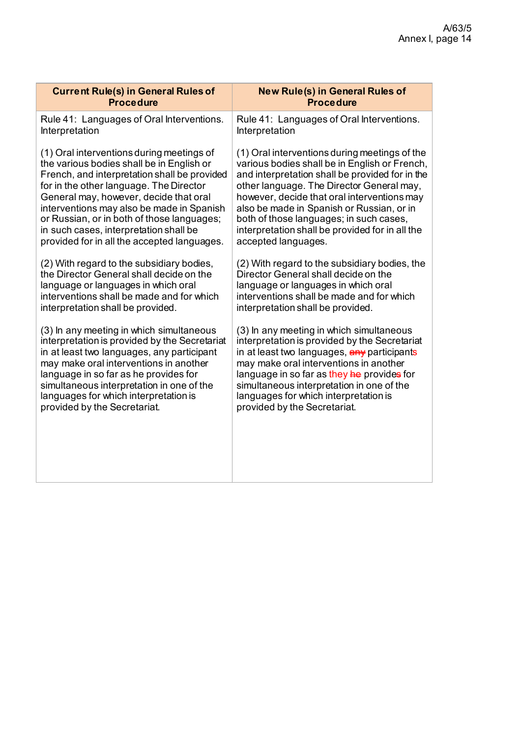| <b>Current Rule(s) in General Rules of</b>    | <b>New Rule(s) in General Rules of</b>          |
|-----------------------------------------------|-------------------------------------------------|
| <b>Procedure</b>                              | <b>Procedure</b>                                |
| Rule 41: Languages of Oral Interventions.     | Rule 41: Languages of Oral Interventions.       |
| Interpretation                                | Interpretation                                  |
| (1) Oral interventions during meetings of     | (1) Oral interventions during meetings of the   |
| the various bodies shall be in English or     | various bodies shall be in English or French,   |
| French, and interpretation shall be provided  | and interpretation shall be provided for in the |
| for in the other language. The Director       | other language. The Director General may,       |
| General may, however, decide that oral        | however, decide that oral interventions may     |
| interventions may also be made in Spanish     | also be made in Spanish or Russian, or in       |
| or Russian, or in both of those languages;    | both of those languages; in such cases,         |
| in such cases, interpretation shall be        | interpretation shall be provided for in all the |
| provided for in all the accepted languages.   | accepted languages.                             |
| (2) With regard to the subsidiary bodies,     | (2) With regard to the subsidiary bodies, the   |
| the Director General shall decide on the      | Director General shall decide on the            |
| language or languages in which oral           | language or languages in which oral             |
| interventions shall be made and for which     | interventions shall be made and for which       |
| interpretation shall be provided.             | interpretation shall be provided.               |
| (3) In any meeting in which simultaneous      | (3) In any meeting in which simultaneous        |
| interpretation is provided by the Secretariat | interpretation is provided by the Secretariat   |
| in at least two languages, any participant    | in at least two languages, any participants     |
| may make oral interventions in another        | may make oral interventions in another          |
| language in so far as he provides for         | language in so far as they he provides for      |
| simultaneous interpretation in one of the     | simultaneous interpretation in one of the       |
| languages for which interpretation is         | languages for which interpretation is           |
| provided by the Secretariat.                  | provided by the Secretariat.                    |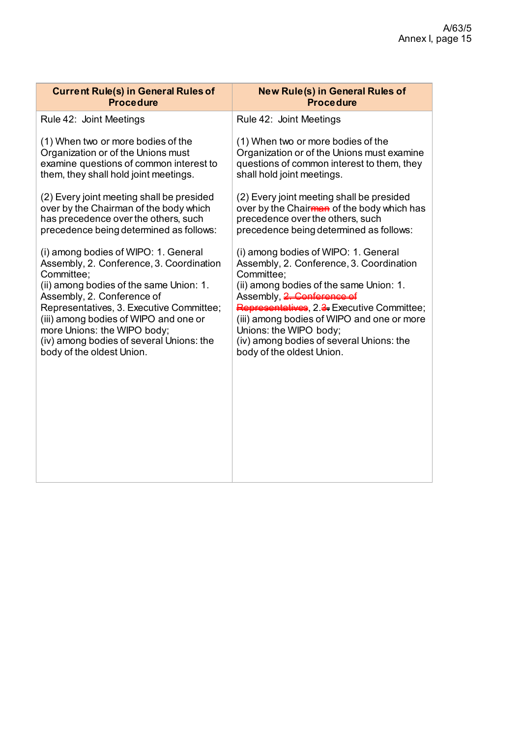| <b>Current Rule(s) in General Rules of</b> | <b>New Rule(s) in General Rules of</b>     |
|--------------------------------------------|--------------------------------------------|
| <b>Procedure</b>                           | <b>Procedure</b>                           |
| Rule 42: Joint Meetings                    | Rule 42: Joint Meetings                    |
| (1) When two or more bodies of the         | (1) When two or more bodies of the         |
| Organization or of the Unions must         | Organization or of the Unions must examine |
| examine questions of common interest to    | questions of common interest to them, they |
| them, they shall hold joint meetings.      | shall hold joint meetings.                 |
| (2) Every joint meeting shall be presided  | (2) Every joint meeting shall be presided  |
| over by the Chairman of the body which     | over by the Chairman of the body which has |
| has precedence over the others, such       | precedence over the others, such           |
| precedence being determined as follows:    | precedence being determined as follows:    |
| (i) among bodies of WIPO: 1. General       | (i) among bodies of WIPO: 1. General       |
| Assembly, 2. Conference, 3. Coordination   | Assembly, 2. Conference, 3. Coordination   |
| Committee;                                 | Committee;                                 |
| (ii) among bodies of the same Union: 1.    | (ii) among bodies of the same Union: 1.    |
| Assembly, 2. Conference of                 | Assembly, 2. Conference of                 |
| Representatives, 3. Executive Committee;   | Representatives, 2.3. Executive Committee; |
| (iii) among bodies of WIPO and one or      | (iii) among bodies of WIPO and one or more |
| more Unions: the WIPO body;                | Unions: the WIPO body;                     |
| (iv) among bodies of several Unions: the   | (iv) among bodies of several Unions: the   |
| body of the oldest Union.                  | body of the oldest Union.                  |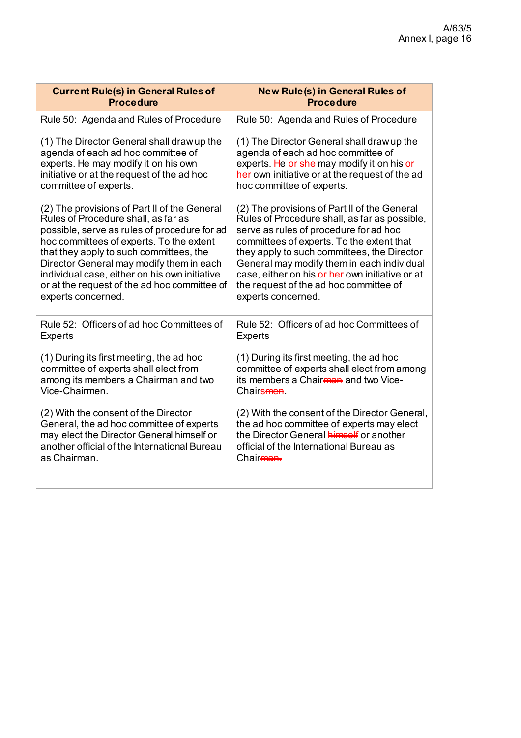| <b>Current Rule(s) in General Rules of</b>    | <b>New Rule(s) in General Rules of</b>           |
|-----------------------------------------------|--------------------------------------------------|
| <b>Procedure</b>                              | <b>Procedure</b>                                 |
| Rule 50: Agenda and Rules of Procedure        | Rule 50: Agenda and Rules of Procedure           |
| (1) The Director General shall draw up the    | (1) The Director General shall draw up the       |
| agenda of each ad hoc committee of            | agenda of each ad hoc committee of               |
| experts. He may modify it on his own          | experts. He or she may modify it on his or       |
| initiative or at the request of the ad hoc    | her own initiative or at the request of the ad   |
| committee of experts.                         | hoc committee of experts.                        |
| (2) The provisions of Part II of the General  | (2) The provisions of Part II of the General     |
| Rules of Procedure shall, as far as           | Rules of Procedure shall, as far as possible,    |
| possible, serve as rules of procedure for ad  | serve as rules of procedure for ad hoc           |
| hoc committees of experts. To the extent      | committees of experts. To the extent that        |
| that they apply to such committees, the       | they apply to such committees, the Director      |
| Director General may modify them in each      | General may modify them in each individual       |
| individual case, either on his own initiative | case, either on his or her own initiative or at  |
| or at the request of the ad hoc committee of  | the request of the ad hoc committee of           |
| experts concerned.                            | experts concerned.                               |
| Rule 52: Officers of ad hoc Committees of     | Rule 52: Officers of ad hoc Committees of        |
| <b>Experts</b>                                | <b>Experts</b>                                   |
| (1) During its first meeting, the ad hoc      | (1) During its first meeting, the ad hoc         |
| committee of experts shall elect from         | committee of experts shall elect from among      |
| among its members a Chairman and two          | its members a Chair <del>man</del> and two Vice- |
| Vice-Chairmen.                                | Chairs <del>men</del>                            |
| (2) With the consent of the Director          | (2) With the consent of the Director General,    |
| General, the ad hoc committee of experts      | the ad hoc committee of experts may elect        |
| may elect the Director General himself or     | the Director General <b>himself</b> or another   |
| another official of the International Bureau  | official of the International Bureau as          |
| as Chairman.                                  | Chair <del>man.</del>                            |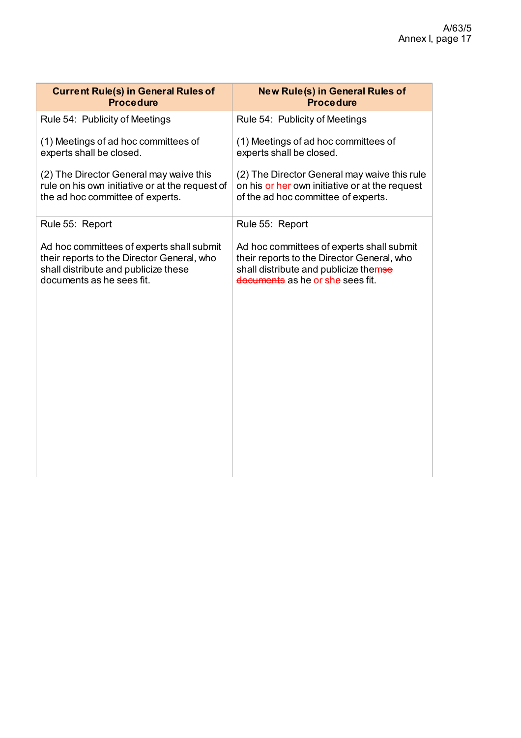| <b>Procedure</b>                                                                                                                                                     |
|----------------------------------------------------------------------------------------------------------------------------------------------------------------------|
| Rule 54: Publicity of Meetings                                                                                                                                       |
| (1) Meetings of ad hoc committees of<br>experts shall be closed.                                                                                                     |
| (2) The Director General may waive this rule<br>on his or her own initiative or at the request<br>of the ad hoc committee of experts.                                |
| Rule 55: Report                                                                                                                                                      |
| Ad hoc committees of experts shall submit<br>their reports to the Director General, who<br>shall distribute and publicize themse<br>documents as he or she sees fit. |
|                                                                                                                                                                      |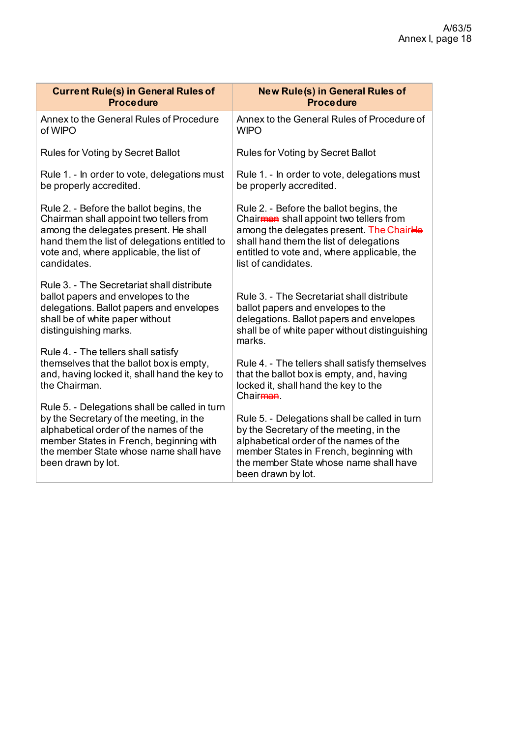| <b>Current Rule(s) in General Rules of</b>    | New Rule(s) in General Rules of                |
|-----------------------------------------------|------------------------------------------------|
| <b>Procedure</b>                              | <b>Procedure</b>                               |
| Annex to the General Rules of Procedure       | Annex to the General Rules of Procedure of     |
| of WIPO                                       | <b>WIPO</b>                                    |
| Rules for Voting by Secret Ballot             | Rules for Voting by Secret Ballot              |
| Rule 1. - In order to vote, delegations must  | Rule 1. - In order to vote, delegations must   |
| be properly accredited.                       | be properly accredited.                        |
| Rule 2. - Before the ballot begins, the       | Rule 2. - Before the ballot begins, the        |
| Chairman shall appoint two tellers from       | Chairman shall appoint two tellers from        |
| among the delegates present. He shall         | among the delegates present. The ChairHe       |
| hand them the list of delegations entitled to | shall hand them the list of delegations        |
| vote and, where applicable, the list of       | entitled to vote and, where applicable, the    |
| candidates.                                   | list of candidates.                            |
| Rule 3. - The Secretariat shall distribute    | Rule 3. - The Secretariat shall distribute     |
| ballot papers and envelopes to the            | ballot papers and envelopes to the             |
| delegations. Ballot papers and envelopes      | delegations. Ballot papers and envelopes       |
| shall be of white paper without               | shall be of white paper without distinguishing |
| distinguishing marks.                         | marks.                                         |
| Rule 4. - The tellers shall satisfy           | Rule 4. - The tellers shall satisfy themselves |
| themselves that the ballot box is empty,      | that the ballot box is empty, and, having      |
| and, having locked it, shall hand the key to  | locked it, shall hand the key to the           |
| the Chairman.                                 | Chair <sub>man</sub>                           |
| Rule 5. - Delegations shall be called in turn | Rule 5. - Delegations shall be called in turn  |
| by the Secretary of the meeting, in the       | by the Secretary of the meeting, in the        |
| alphabetical order of the names of the        | alphabetical order of the names of the         |
| member States in French, beginning with       | member States in French, beginning with        |
| the member State whose name shall have        | the member State whose name shall have         |
| been drawn by lot.                            | been drawn by lot.                             |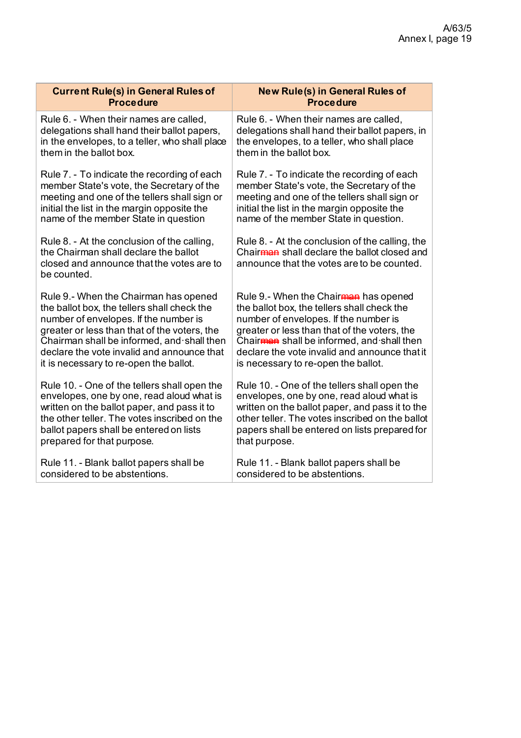| <b>Current Rule(s) in General Rules of</b>                                                                                                       | <b>New Rule(s) in General Rules of</b>                                                                                                                    |
|--------------------------------------------------------------------------------------------------------------------------------------------------|-----------------------------------------------------------------------------------------------------------------------------------------------------------|
| <b>Procedure</b>                                                                                                                                 | <b>Procedure</b>                                                                                                                                          |
| Rule 6. - When their names are called,                                                                                                           | Rule 6. - When their names are called,                                                                                                                    |
| delegations shall hand their ballot papers,                                                                                                      | delegations shall hand their ballot papers, in                                                                                                            |
| in the envelopes, to a teller, who shall place                                                                                                   | the envelopes, to a teller, who shall place                                                                                                               |
| them in the ballot box.                                                                                                                          | them in the ballot box.                                                                                                                                   |
| Rule 7. - To indicate the recording of each                                                                                                      | Rule 7. - To indicate the recording of each                                                                                                               |
| member State's vote, the Secretary of the                                                                                                        | member State's vote, the Secretary of the                                                                                                                 |
| meeting and one of the tellers shall sign or                                                                                                     | meeting and one of the tellers shall sign or                                                                                                              |
| initial the list in the margin opposite the                                                                                                      | initial the list in the margin opposite the                                                                                                               |
| name of the member State in question                                                                                                             | name of the member State in question.                                                                                                                     |
| Rule 8. - At the conclusion of the calling,<br>the Chairman shall declare the ballot<br>closed and announce that the votes are to<br>be counted. | Rule 8. - At the conclusion of the calling, the<br>Chair <del>man</del> shall declare the ballot closed and<br>announce that the votes are to be counted. |
| Rule 9.- When the Chairman has opened                                                                                                            | Rule 9.- When the Chairman has opened                                                                                                                     |
| the ballot box, the tellers shall check the                                                                                                      | the ballot box, the tellers shall check the                                                                                                               |
| number of envelopes. If the number is                                                                                                            | number of envelopes. If the number is                                                                                                                     |
| greater or less than that of the voters, the                                                                                                     | greater or less than that of the voters, the                                                                                                              |
| Chairman shall be informed, and shall then                                                                                                       | Chairman shall be informed, and shall then                                                                                                                |
| declare the vote invalid and announce that                                                                                                       | declare the vote invalid and announce that it                                                                                                             |
| it is necessary to re-open the ballot.                                                                                                           | is necessary to re-open the ballot.                                                                                                                       |
| Rule 10. - One of the tellers shall open the                                                                                                     | Rule 10. - One of the tellers shall open the                                                                                                              |
| envelopes, one by one, read aloud what is                                                                                                        | envelopes, one by one, read aloud what is                                                                                                                 |
| written on the ballot paper, and pass it to                                                                                                      | written on the ballot paper, and pass it to the                                                                                                           |
| the other teller. The votes inscribed on the                                                                                                     | other teller. The votes inscribed on the ballot                                                                                                           |
| ballot papers shall be entered on lists                                                                                                          | papers shall be entered on lists prepared for                                                                                                             |
| prepared for that purpose.                                                                                                                       | that purpose.                                                                                                                                             |
| Rule 11. - Blank ballot papers shall be                                                                                                          | Rule 11. - Blank ballot papers shall be                                                                                                                   |
| considered to be abstentions.                                                                                                                    | considered to be abstentions.                                                                                                                             |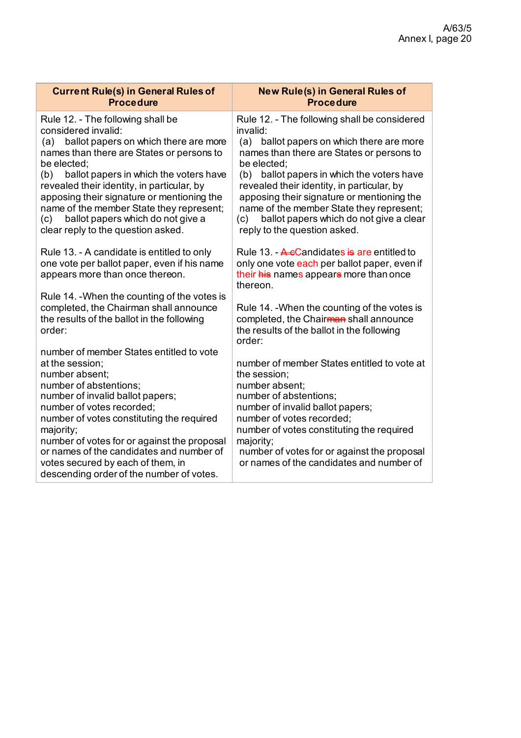| <b>Current Rule(s) in General Rules of</b><br><b>Procedure</b>                                                                                                                                                                                                                                                                                                                                                                                  | <b>New Rule(s) in General Rules of</b><br><b>Procedure</b>                                                                                                                                                                                                                                                                                                                                                                                   |
|-------------------------------------------------------------------------------------------------------------------------------------------------------------------------------------------------------------------------------------------------------------------------------------------------------------------------------------------------------------------------------------------------------------------------------------------------|----------------------------------------------------------------------------------------------------------------------------------------------------------------------------------------------------------------------------------------------------------------------------------------------------------------------------------------------------------------------------------------------------------------------------------------------|
| Rule 12. - The following shall be<br>considered invalid:<br>ballot papers on which there are more<br>(a)<br>names than there are States or persons to<br>be elected;<br>ballot papers in which the voters have<br>(b)<br>revealed their identity, in particular, by<br>apposing their signature or mentioning the<br>name of the member State they represent;<br>ballot papers which do not give a<br>(c)<br>clear reply to the question asked. | Rule 12. - The following shall be considered<br>invalid:<br>ballot papers on which there are more<br>(a)<br>names than there are States or persons to<br>be elected;<br>(b) ballot papers in which the voters have<br>revealed their identity, in particular, by<br>apposing their signature or mentioning the<br>name of the member State they represent;<br>ballot papers which do not give a clear<br>(c)<br>reply to the question asked. |
| Rule 13. - A candidate is entitled to only<br>one vote per ballot paper, even if his name<br>appears more than once thereon.                                                                                                                                                                                                                                                                                                                    | Rule 13. - A e Candidates is are entitled to<br>only one vote each per ballot paper, even if<br>their his names appears more than once<br>thereon.                                                                                                                                                                                                                                                                                           |
| Rule 14. - When the counting of the votes is<br>completed, the Chairman shall announce<br>the results of the ballot in the following<br>order:                                                                                                                                                                                                                                                                                                  | Rule 14. - When the counting of the votes is<br>completed, the Chairman shall announce<br>the results of the ballot in the following<br>order:                                                                                                                                                                                                                                                                                               |
| number of member States entitled to vote<br>at the session;<br>number absent;<br>number of abstentions;<br>number of invalid ballot papers;<br>number of votes recorded;<br>number of votes constituting the required<br>majority;<br>number of votes for or against the proposal<br>or names of the candidates and number of<br>votes secured by each of them, in<br>descending order of the number of votes.                                  | number of member States entitled to vote at<br>the session;<br>number absent;<br>number of abstentions;<br>number of invalid ballot papers;<br>number of votes recorded;<br>number of votes constituting the required<br>majority;<br>number of votes for or against the proposal<br>or names of the candidates and number of                                                                                                                |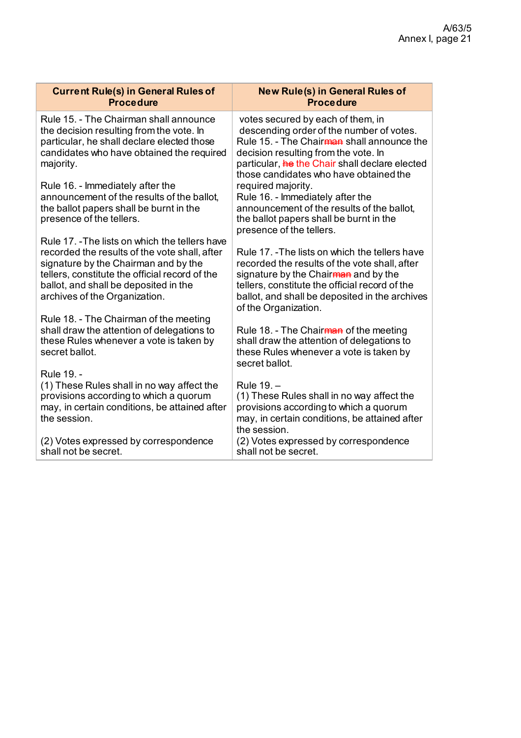| <b>Current Rule(s) in General Rules of</b>                                                                                                                                                 | <b>New Rule(s) in General Rules of</b>                                                                                                                                                                                                                                      |
|--------------------------------------------------------------------------------------------------------------------------------------------------------------------------------------------|-----------------------------------------------------------------------------------------------------------------------------------------------------------------------------------------------------------------------------------------------------------------------------|
| <b>Procedure</b>                                                                                                                                                                           | <b>Procedure</b>                                                                                                                                                                                                                                                            |
| Rule 15. - The Chairman shall announce<br>the decision resulting from the vote. In<br>particular, he shall declare elected those<br>candidates who have obtained the required<br>majority. | votes secured by each of them, in<br>descending order of the number of votes.<br>Rule 15. - The Chair <del>man</del> shall announce the<br>decision resulting from the vote. In<br>particular, he the Chair shall declare elected<br>those candidates who have obtained the |
| Rule 16. - Immediately after the<br>announcement of the results of the ballot,<br>the ballot papers shall be burnt in the<br>presence of the tellers.                                      | required majority.<br>Rule 16. - Immediately after the<br>announcement of the results of the ballot,<br>the ballot papers shall be burnt in the<br>presence of the tellers.                                                                                                 |
| Rule 17. - The lists on which the tellers have                                                                                                                                             | Rule 17. -The lists on which the tellers have                                                                                                                                                                                                                               |
| recorded the results of the vote shall, after                                                                                                                                              | recorded the results of the vote shall, after                                                                                                                                                                                                                               |
| signature by the Chairman and by the                                                                                                                                                       | signature by the Chairman and by the                                                                                                                                                                                                                                        |
| tellers, constitute the official record of the                                                                                                                                             | tellers, constitute the official record of the                                                                                                                                                                                                                              |
| ballot, and shall be deposited in the                                                                                                                                                      | ballot, and shall be deposited in the archives                                                                                                                                                                                                                              |
| archives of the Organization.                                                                                                                                                              | of the Organization.                                                                                                                                                                                                                                                        |
| Rule 18. - The Chairman of the meeting                                                                                                                                                     | Rule 18. - The Chairman of the meeting                                                                                                                                                                                                                                      |
| shall draw the attention of delegations to                                                                                                                                                 | shall draw the attention of delegations to                                                                                                                                                                                                                                  |
| these Rules whenever a vote is taken by                                                                                                                                                    | these Rules whenever a vote is taken by                                                                                                                                                                                                                                     |
| secret ballot.                                                                                                                                                                             | secret ballot.                                                                                                                                                                                                                                                              |
| Rule 19. -                                                                                                                                                                                 | Rule 19. -                                                                                                                                                                                                                                                                  |
| (1) These Rules shall in no way affect the                                                                                                                                                 | (1) These Rules shall in no way affect the                                                                                                                                                                                                                                  |
| provisions according to which a quorum                                                                                                                                                     | provisions according to which a quorum                                                                                                                                                                                                                                      |
| may, in certain conditions, be attained after                                                                                                                                              | may, in certain conditions, be attained after                                                                                                                                                                                                                               |
| the session.                                                                                                                                                                               | the session.                                                                                                                                                                                                                                                                |
| (2) Votes expressed by correspondence                                                                                                                                                      | (2) Votes expressed by correspondence                                                                                                                                                                                                                                       |
| shall not be secret.                                                                                                                                                                       | shall not be secret.                                                                                                                                                                                                                                                        |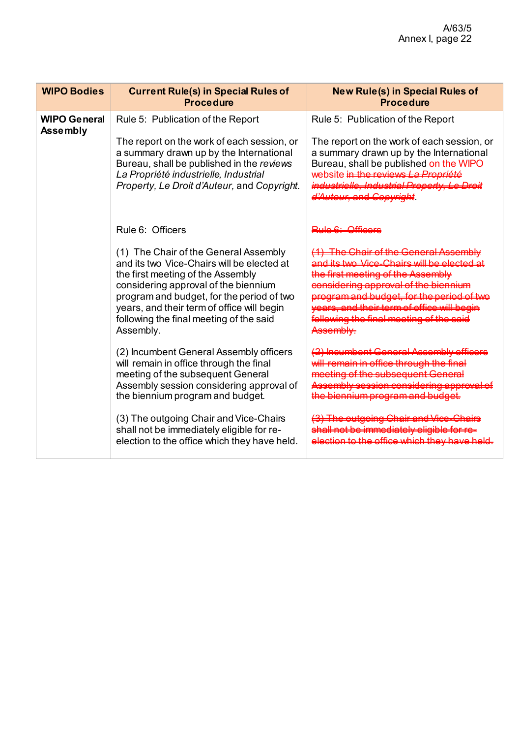| <b>WIPO Bodies</b>                     | <b>Current Rule(s) in Special Rules of</b><br><b>Procedure</b>                                                                                                                                                                                                                                                                                                                                                                                                                                                                                                                                                                                                                            | <b>New Rule(s) in Special Rules of</b><br><b>Procedure</b>                                                                                                                                                |
|----------------------------------------|-------------------------------------------------------------------------------------------------------------------------------------------------------------------------------------------------------------------------------------------------------------------------------------------------------------------------------------------------------------------------------------------------------------------------------------------------------------------------------------------------------------------------------------------------------------------------------------------------------------------------------------------------------------------------------------------|-----------------------------------------------------------------------------------------------------------------------------------------------------------------------------------------------------------|
| <b>WIPO General</b><br><b>Assembly</b> | Rule 5: Publication of the Report<br>The report on the work of each session, or<br>a summary drawn up by the International<br>Bureau, shall be published in the reviews<br>La Propriété industrielle, Industrial<br>Property, Le Droit d'Auteur, and Copyright.                                                                                                                                                                                                                                                                                                                                                                                                                           | Rule 5: Publication of the Report<br>The report on the work of each session, or<br>a summary drawn up by the International<br>Bureau, shall be published on the WIPO<br>website in the reviews La Proprié |
|                                        | Rule 6: Officers<br>(1) The Chair of the General Assembly<br>and its two Vice-Chairs will be elected at<br>the first meeting of the Assembly<br>considering approval of the biennium<br>program and budget, for the period of two<br>years, and their term of office will begin<br>following the final meeting of the said<br>Assembly.<br>(2) Incumbent General Assembly officers<br>will remain in office through the final<br>meeting of the subsequent General<br>Assembly session considering approval of<br>the biennium program and budget.<br>(3) The outgoing Chair and Vice-Chairs<br>shall not be immediately eligible for re-<br>election to the office which they have held. |                                                                                                                                                                                                           |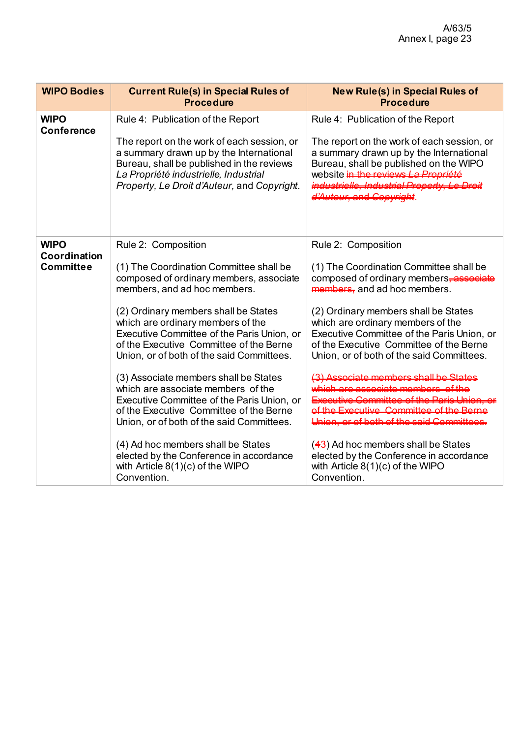| <b>WIPO Bodies</b>                              | <b>Current Rule(s) in Special Rules of</b><br><b>Procedure</b>                                                                                                                                                                                                                                                                                                                                                                                                                                                                                                                                                                                                                                                          | <b>New Rule(s) in Special Rules of</b><br><b>Procedure</b>                                                                                                                                                                                                                                                                                                                                                                                                                                                                                                                                         |
|-------------------------------------------------|-------------------------------------------------------------------------------------------------------------------------------------------------------------------------------------------------------------------------------------------------------------------------------------------------------------------------------------------------------------------------------------------------------------------------------------------------------------------------------------------------------------------------------------------------------------------------------------------------------------------------------------------------------------------------------------------------------------------------|----------------------------------------------------------------------------------------------------------------------------------------------------------------------------------------------------------------------------------------------------------------------------------------------------------------------------------------------------------------------------------------------------------------------------------------------------------------------------------------------------------------------------------------------------------------------------------------------------|
| <b>WIPO</b><br><b>Conference</b>                | Rule 4: Publication of the Report<br>The report on the work of each session, or<br>a summary drawn up by the International<br>Bureau, shall be published in the reviews<br>La Propriété industrielle, Industrial<br>Property, Le Droit d'Auteur, and Copyright.                                                                                                                                                                                                                                                                                                                                                                                                                                                         | Rule 4: Publication of the Report<br>The report on the work of each session, or<br>a summary drawn up by the International<br>Bureau, shall be published on the WIPO<br>website in the reviews                                                                                                                                                                                                                                                                                                                                                                                                     |
| <b>WIPO</b><br>Coordination<br><b>Committee</b> | Rule 2: Composition<br>(1) The Coordination Committee shall be<br>composed of ordinary members, associate<br>members, and ad hoc members.<br>(2) Ordinary members shall be States<br>which are ordinary members of the<br>Executive Committee of the Paris Union, or<br>of the Executive Committee of the Berne<br>Union, or of both of the said Committees.<br>(3) Associate members shall be States<br>which are associate members of the<br>Executive Committee of the Paris Union, or<br>of the Executive Committee of the Berne<br>Union, or of both of the said Committees.<br>(4) Ad hoc members shall be States<br>elected by the Conference in accordance<br>with Article $8(1)(c)$ of the WIPO<br>Convention. | Rule 2: Composition<br>(1) The Coordination Committee shall be<br>composed of ordinary members <del>, associate</del><br>members, and ad hoc members.<br>(2) Ordinary members shall be States<br>which are ordinary members of the<br>Executive Committee of the Paris Union, or<br>of the Executive Committee of the Berne<br>Union, or of both of the said Committees.<br>of the Executive Committee of the<br><b>Hajon ar of both of the said Comp</b><br>$(43)$ Ad hoc members shall be States<br>elected by the Conference in accordance<br>with Article $8(1)(c)$ of the WIPO<br>Convention. |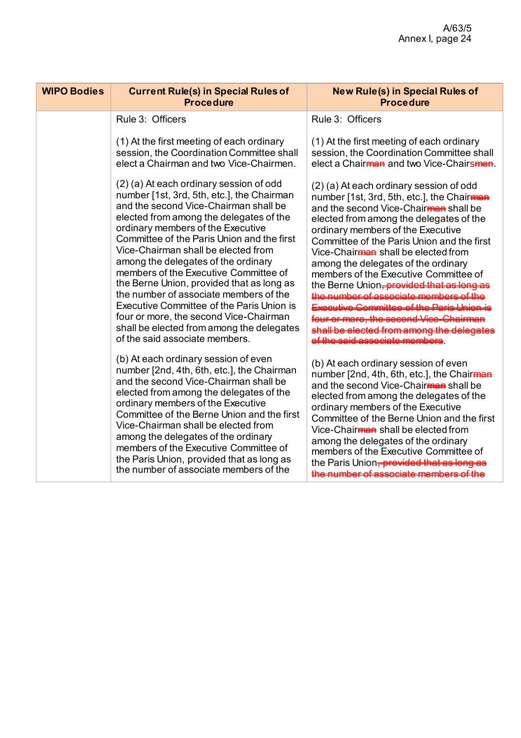| <b>WIPO Bodies</b> | <b>Current Rule(s) in Special Rules of</b><br><b>Procedure</b>                                                                                                                                                                                                                                                                                                                                                                                                                                                                                                                                                                                   | <b>New Rule(s) in Special Rules of</b><br><b>Procedure</b>                                                                                                                                                                                                                                                                                                                                                                                                                                    |
|--------------------|--------------------------------------------------------------------------------------------------------------------------------------------------------------------------------------------------------------------------------------------------------------------------------------------------------------------------------------------------------------------------------------------------------------------------------------------------------------------------------------------------------------------------------------------------------------------------------------------------------------------------------------------------|-----------------------------------------------------------------------------------------------------------------------------------------------------------------------------------------------------------------------------------------------------------------------------------------------------------------------------------------------------------------------------------------------------------------------------------------------------------------------------------------------|
|                    | Rule 3: Officers                                                                                                                                                                                                                                                                                                                                                                                                                                                                                                                                                                                                                                 | Rule 3: Officers                                                                                                                                                                                                                                                                                                                                                                                                                                                                              |
|                    | (1) At the first meeting of each ordinary<br>session, the Coordination Committee shall<br>elect a Chairman and two Vice-Chairmen.                                                                                                                                                                                                                                                                                                                                                                                                                                                                                                                | (1) At the first meeting of each ordinary<br>session, the Coordination Committee shall<br>elect a Chair <del>man</del> and two Vice-Chairsmen.                                                                                                                                                                                                                                                                                                                                                |
|                    | (2) (a) At each ordinary session of odd<br>number [1st, 3rd, 5th, etc.], the Chairman<br>and the second Vice-Chairman shall be<br>elected from among the delegates of the<br>ordinary members of the Executive<br>Committee of the Paris Union and the first<br>Vice-Chairman shall be elected from<br>among the delegates of the ordinary<br>members of the Executive Committee of<br>the Berne Union, provided that as long as<br>the number of associate members of the<br>Executive Committee of the Paris Union is<br>four or more, the second Vice-Chairman<br>shall be elected from among the delegates<br>of the said associate members. | (2) (a) At each ordinary session of odd<br>number [1st, 3rd, 5th, etc.], the Chairman<br>and the second Vice-Chair <sub>man</sub> shall be<br>elected from among the delegates of the<br>ordinary members of the Executive<br>Committee of the Paris Union and the first<br>Vice-Chair <del>man</del> shall be elected from<br>among the delegates of the ordinary<br>members of the Executive Committee of<br>the Berne Union <del>, provided tha</del><br>Expositive Committee of the Derio |
|                    | (b) At each ordinary session of even<br>number [2nd, 4th, 6th, etc.], the Chairman<br>and the second Vice-Chairman shall be<br>elected from among the delegates of the<br>ordinary members of the Executive<br>Committee of the Berne Union and the first<br>Vice-Chairman shall be elected from<br>among the delegates of the ordinary<br>members of the Executive Committee of<br>the Paris Union, provided that as long as<br>the number of associate members of the                                                                                                                                                                          | (b) At each ordinary session of even<br>number [2nd, 4th, 6th, etc.], the Chairman<br>and the second Vice-Chairman shall be<br>elected from among the delegates of the<br>ordinary members of the Executive<br>Committee of the Berne Union and the first<br>Vice-Chair <del>man</del> shall be elected from<br>among the delegates of the ordinary<br>members of the Executive Committee of<br>the Paris Union <del>, provided that as</del>                                                 |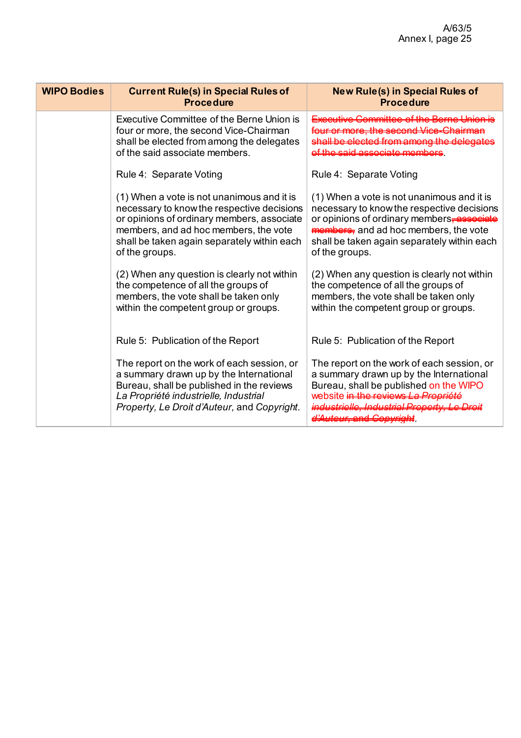| <b>WIPO Bodies</b> | <b>Current Rule(s) in Special Rules of</b><br><b>Procedure</b>                                                                                                                                                                                   | <b>New Rule(s) in Special Rules of</b><br><b>Procedure</b>                                                                                                                                                                                               |
|--------------------|--------------------------------------------------------------------------------------------------------------------------------------------------------------------------------------------------------------------------------------------------|----------------------------------------------------------------------------------------------------------------------------------------------------------------------------------------------------------------------------------------------------------|
|                    | Executive Committee of the Berne Union is<br>four or more, the second Vice-Chairman<br>shall be elected from among the delegates<br>of the said associate members.                                                                               | autive Committee of the Perne U                                                                                                                                                                                                                          |
|                    | Rule 4: Separate Voting                                                                                                                                                                                                                          | Rule 4: Separate Voting                                                                                                                                                                                                                                  |
|                    | (1) When a vote is not unanimous and it is<br>necessary to know the respective decisions<br>or opinions of ordinary members, associate<br>members, and ad hoc members, the vote<br>shall be taken again separately within each<br>of the groups. | (1) When a vote is not unanimous and it is<br>necessary to know the respective decisions<br>or opinions of ordinary members, associate<br><b>members</b> , and ad hoc members, the vote<br>shall be taken again separately within each<br>of the groups. |
|                    | (2) When any question is clearly not within<br>the competence of all the groups of<br>members, the vote shall be taken only<br>within the competent group or groups.                                                                             | (2) When any question is clearly not within<br>the competence of all the groups of<br>members, the vote shall be taken only<br>within the competent group or groups.                                                                                     |
|                    | Rule 5: Publication of the Report                                                                                                                                                                                                                | Rule 5: Publication of the Report                                                                                                                                                                                                                        |
|                    | The report on the work of each session, or<br>a summary drawn up by the International<br>Bureau, shall be published in the reviews<br>La Propriété industrielle, Industrial<br>Property, Le Droit d'Auteur, and Copyright.                       | The report on the work of each session, or<br>a summary drawn up by the International<br>Bureau, shall be published on the WIPO<br>website in the reviews La Prepriété<br>triollo Industrial Property Le Dr<br><del>/teur, and Co</del>                  |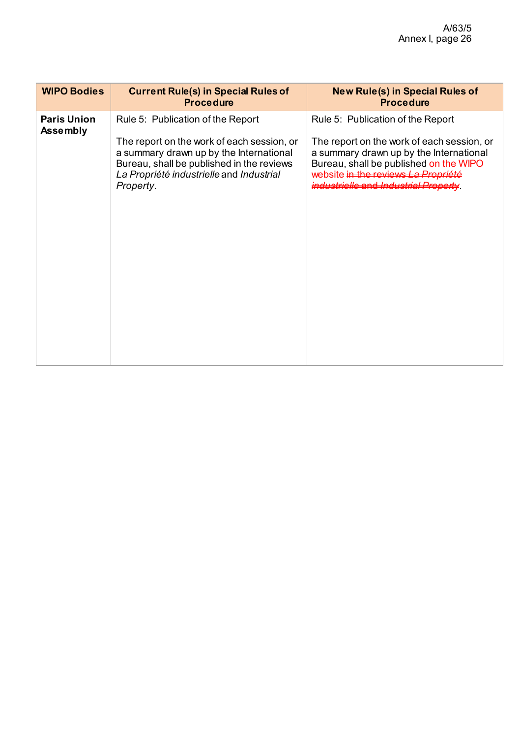| <b>WIPO Bodies</b>                    | <b>Current Rule(s) in Special Rules of</b><br><b>Procedure</b>                                                                                                                              | <b>New Rule(s) in Special Rules of</b><br><b>Procedure</b>                                                                                                                                                            |
|---------------------------------------|---------------------------------------------------------------------------------------------------------------------------------------------------------------------------------------------|-----------------------------------------------------------------------------------------------------------------------------------------------------------------------------------------------------------------------|
| <b>Paris Union</b><br><b>Assembly</b> | Rule 5: Publication of the Report                                                                                                                                                           | Rule 5: Publication of the Report                                                                                                                                                                                     |
|                                       | The report on the work of each session, or<br>a summary drawn up by the International<br>Bureau, shall be published in the reviews<br>La Propriété industrielle and Industrial<br>Property. | The report on the work of each session, or<br>a summary drawn up by the International<br>Bureau, shall be published on the WIPO<br>website in the reviews La Prepriété<br><del>industrielle and Industrial Pr</del> e |
|                                       |                                                                                                                                                                                             |                                                                                                                                                                                                                       |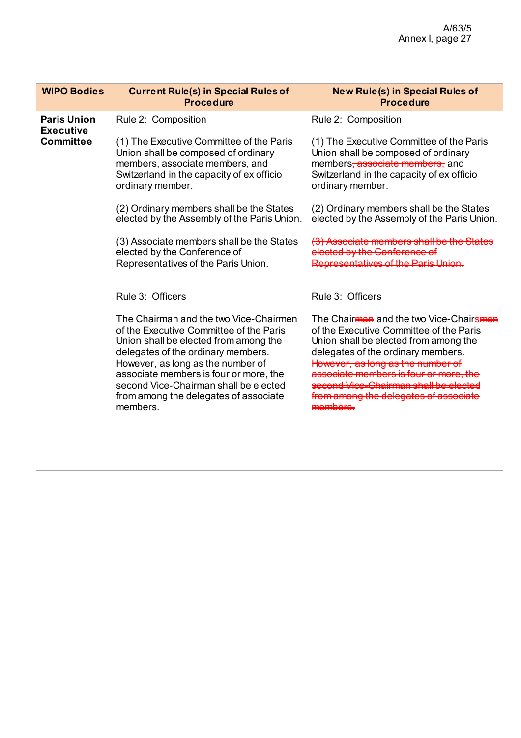| <b>WIPO Bodies</b>                                         | <b>Current Rule(s) in Special Rules of</b><br><b>Procedure</b>                                                                                                                                                                                                                                                                                                                                                            | <b>New Rule(s) in Special Rules of</b><br><b>Procedure</b>                                                                                                                                                                                                                                                                                                                                                                |
|------------------------------------------------------------|---------------------------------------------------------------------------------------------------------------------------------------------------------------------------------------------------------------------------------------------------------------------------------------------------------------------------------------------------------------------------------------------------------------------------|---------------------------------------------------------------------------------------------------------------------------------------------------------------------------------------------------------------------------------------------------------------------------------------------------------------------------------------------------------------------------------------------------------------------------|
| <b>Paris Union</b><br><b>Executive</b><br><b>Committee</b> | Rule 2: Composition<br>(1) The Executive Committee of the Paris<br>Union shall be composed of ordinary<br>members, associate members, and<br>Switzerland in the capacity of ex officio<br>ordinary member.<br>(2) Ordinary members shall be the States<br>elected by the Assembly of the Paris Union.<br>(3) Associate members shall be the States<br>elected by the Conference of<br>Representatives of the Paris Union. | Rule 2: Composition<br>(1) The Executive Committee of the Paris<br>Union shall be composed of ordinary<br>members <del>, associate members,</del> and<br>Switzerland in the capacity of ex officio<br>ordinary member.<br>(2) Ordinary members shall be the States<br>elected by the Assembly of the Paris Union.<br><u>eenoista mambare ehall ba tha Statee</u><br>by the Conferen<br>representative and the Deria Upier |
|                                                            | Rule 3: Officers<br>The Chairman and the two Vice-Chairmen<br>of the Executive Committee of the Paris<br>Union shall be elected from among the<br>delegates of the ordinary members.<br>However, as long as the number of<br>associate members is four or more, the<br>second Vice-Chairman shall be elected<br>from among the delegates of associate<br>members.                                                         | Rule 3: Officers<br>The Chair <del>man</del> and the two Vice-Chairsmen<br>of the Executive Committee of the Paris<br>Union shall be elected from among the<br>delegates of the ordinary members.<br><del>ng as the number of</del><br>mambara je four or more<br><u>eeeand Vice, Chairman ahall ha alaat</u><br><del>from among the delegates of ass</del><br>عممطممصم                                                   |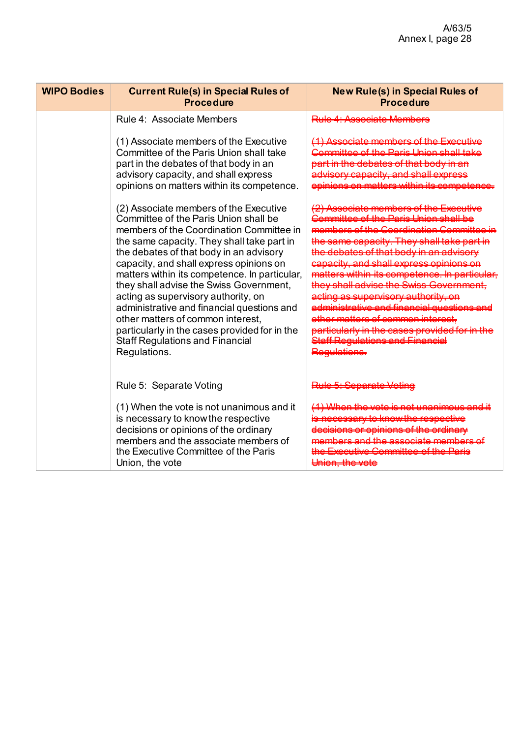| <b>WIPO Bodies</b> | <b>Current Rule(s) in Special Rules of</b><br><b>Procedure</b>                                                                                                                                                                                                                                                                                                                                                                                                                                                                                                                                   | <b>New Rule(s) in Special Rules of</b><br><b>Procedure</b> |
|--------------------|--------------------------------------------------------------------------------------------------------------------------------------------------------------------------------------------------------------------------------------------------------------------------------------------------------------------------------------------------------------------------------------------------------------------------------------------------------------------------------------------------------------------------------------------------------------------------------------------------|------------------------------------------------------------|
|                    | Rule 4: Associate Members                                                                                                                                                                                                                                                                                                                                                                                                                                                                                                                                                                        |                                                            |
|                    | (1) Associate members of the Executive<br>Committee of the Paris Union shall take<br>part in the debates of that body in an<br>advisory capacity, and shall express<br>opinions on matters within its competence.                                                                                                                                                                                                                                                                                                                                                                                |                                                            |
|                    | (2) Associate members of the Executive<br>Committee of the Paris Union shall be<br>members of the Coordination Committee in<br>the same capacity. They shall take part in<br>the debates of that body in an advisory<br>capacity, and shall express opinions on<br>matters within its competence. In particular,<br>they shall advise the Swiss Government,<br>acting as supervisory authority, on<br>administrative and financial questions and<br>other matters of common interest,<br>particularly in the cases provided for in the<br><b>Staff Regulations and Financial</b><br>Regulations. |                                                            |
|                    | Rule 5: Separate Voting                                                                                                                                                                                                                                                                                                                                                                                                                                                                                                                                                                          |                                                            |
|                    | (1) When the vote is not unanimous and it<br>is necessary to know the respective<br>decisions or opinions of the ordinary<br>members and the associate members of<br>the Executive Committee of the Paris<br>Union, the vote                                                                                                                                                                                                                                                                                                                                                                     |                                                            |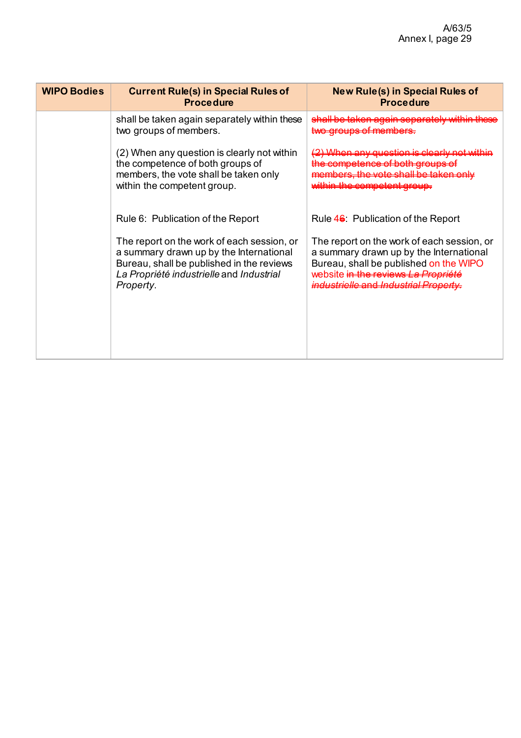| <b>WIPO Bodies</b> | <b>Current Rule(s) in Special Rules of</b><br><b>Procedure</b>                                                                                                                              | <b>New Rule(s) in Special Rules of</b><br><b>Procedure</b>                                                                                                                                                      |
|--------------------|---------------------------------------------------------------------------------------------------------------------------------------------------------------------------------------------|-----------------------------------------------------------------------------------------------------------------------------------------------------------------------------------------------------------------|
|                    | shall be taken again separately within these<br>two groups of members.                                                                                                                      | shall be taken again separately within these                                                                                                                                                                    |
|                    | (2) When any question is clearly not within<br>the competence of both groups of<br>members, the vote shall be taken only<br>within the competent group.                                     | <del>(2) When any question is clearly not within</del><br>the competence of both groups of<br>members, the vote shall be taken only<br>within the competent group.                                              |
|                    | Rule 6: Publication of the Report                                                                                                                                                           | Rule 4 <del>6</del> : Publication of the Report                                                                                                                                                                 |
|                    | The report on the work of each session, or<br>a summary drawn up by the International<br>Bureau, shall be published in the reviews<br>La Propriété industrielle and Industrial<br>Property. | The report on the work of each session, or<br>a summary drawn up by the International<br>Bureau, shall be published on the WIPO<br>website in the reviews La Prepriété<br>industrielle and Industrial Property. |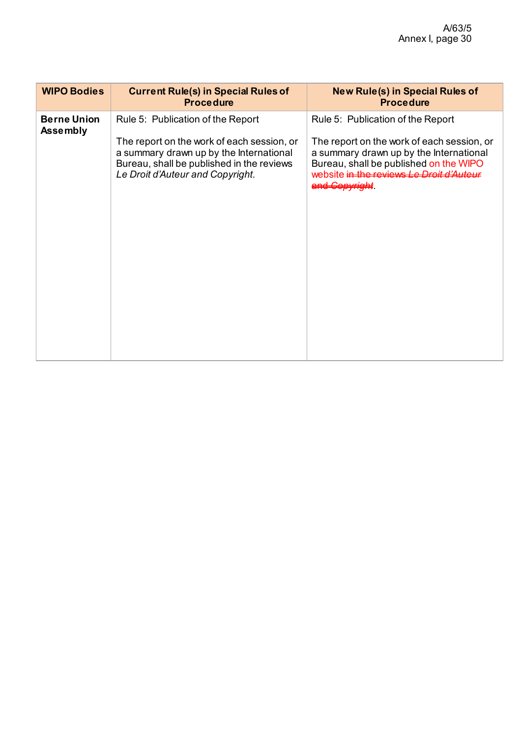| <b>WIPO Bodies</b>                    | <b>Current Rule(s) in Special Rules of</b><br><b>Procedure</b>                                                                                                                                              | <b>New Rule(s) in Special Rules of</b><br><b>Procedure</b>                                                                                                                                                                                     |
|---------------------------------------|-------------------------------------------------------------------------------------------------------------------------------------------------------------------------------------------------------------|------------------------------------------------------------------------------------------------------------------------------------------------------------------------------------------------------------------------------------------------|
| <b>Berne Union</b><br><b>Assembly</b> | Rule 5: Publication of the Report<br>The report on the work of each session, or<br>a summary drawn up by the International<br>Bureau, shall be published in the reviews<br>Le Droit d'Auteur and Copyright. | Rule 5: Publication of the Report<br>The report on the work of each session, or<br>a summary drawn up by the International<br>Bureau, shall be published on the WIPO<br>website in the reviews Le Droit d'Auteur<br><del>and Copyright</del> . |
|                                       |                                                                                                                                                                                                             |                                                                                                                                                                                                                                                |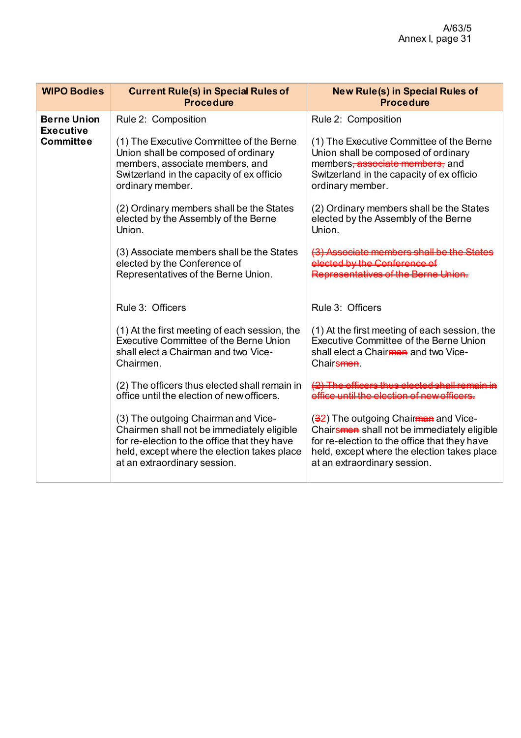| <b>WIPO Bodies</b>                     | <b>Current Rule(s) in Special Rules of</b><br><b>Procedure</b>                                                                                                                                                   | <b>New Rule(s) in Special Rules of</b><br><b>Procedure</b>                                                                                                                                                         |
|----------------------------------------|------------------------------------------------------------------------------------------------------------------------------------------------------------------------------------------------------------------|--------------------------------------------------------------------------------------------------------------------------------------------------------------------------------------------------------------------|
| <b>Berne Union</b><br><b>Executive</b> | Rule 2: Composition                                                                                                                                                                                              | Rule 2: Composition                                                                                                                                                                                                |
| <b>Committee</b>                       | (1) The Executive Committee of the Berne<br>Union shall be composed of ordinary<br>members, associate members, and<br>Switzerland in the capacity of ex officio<br>ordinary member.                              | (1) The Executive Committee of the Berne<br>Union shall be composed of ordinary<br>members <del>, associate members,</del> and<br>Switzerland in the capacity of ex officio<br>ordinary member.                    |
|                                        | (2) Ordinary members shall be the States<br>elected by the Assembly of the Berne<br>Union.                                                                                                                       | (2) Ordinary members shall be the States<br>elected by the Assembly of the Berne<br>Union.                                                                                                                         |
|                                        | (3) Associate members shall be the States<br>elected by the Conference of<br>Representatives of the Berne Union.                                                                                                 | .<br>ntatiwas of the Rerpe Unic                                                                                                                                                                                    |
|                                        | Rule 3: Officers                                                                                                                                                                                                 | Rule 3: Officers                                                                                                                                                                                                   |
|                                        | (1) At the first meeting of each session, the<br><b>Executive Committee of the Berne Union</b><br>shall elect a Chairman and two Vice-<br>Chairmen.                                                              | (1) At the first meeting of each session, the<br><b>Executive Committee of the Berne Union</b><br>shall elect a Chair <del>man</del> and two Vice-<br>Chairs <b>men</b>                                            |
|                                        | (2) The officers thus elected shall remain in<br>office until the election of new officers.                                                                                                                      | until the election of noweffice                                                                                                                                                                                    |
|                                        | (3) The outgoing Chairman and Vice-<br>Chairmen shall not be immediately eligible<br>for re-election to the office that they have<br>held, except where the election takes place<br>at an extraordinary session. | (32) The outgoing Chairman and Vice-<br>Chairsmen shall not be immediately eligible<br>for re-election to the office that they have<br>held, except where the election takes place<br>at an extraordinary session. |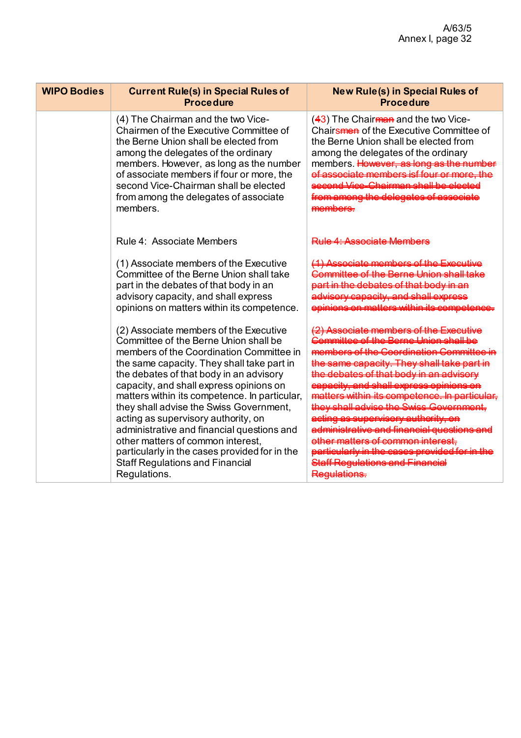| <b>WIPO Bodies</b> | <b>Current Rule(s) in Special Rules of</b><br><b>Procedure</b>                                                                                                                                                                                                                                                                                                                                                                                                                                                                                                                                   | <b>New Rule(s) in Special Rules of</b><br><b>Procedure</b>                                                                                                                                          |
|--------------------|--------------------------------------------------------------------------------------------------------------------------------------------------------------------------------------------------------------------------------------------------------------------------------------------------------------------------------------------------------------------------------------------------------------------------------------------------------------------------------------------------------------------------------------------------------------------------------------------------|-----------------------------------------------------------------------------------------------------------------------------------------------------------------------------------------------------|
|                    | (4) The Chairman and the two Vice-<br>Chairmen of the Executive Committee of<br>the Berne Union shall be elected from<br>among the delegates of the ordinary<br>members. However, as long as the number<br>of associate members if four or more, the<br>second Vice-Chairman shall be elected<br>from among the delegates of associate<br>members.                                                                                                                                                                                                                                               | $(43)$ The Chairman and the two Vice-<br>Chairsmen of the Executive Committee of<br>the Berne Union shall be elected from<br>among the delegates of the ordinary<br>members. <del>However, ar</del> |
|                    | Rule 4: Associate Members                                                                                                                                                                                                                                                                                                                                                                                                                                                                                                                                                                        |                                                                                                                                                                                                     |
|                    | (1) Associate members of the Executive<br>Committee of the Berne Union shall take<br>part in the debates of that body in an<br>advisory capacity, and shall express<br>opinions on matters within its competence.                                                                                                                                                                                                                                                                                                                                                                                |                                                                                                                                                                                                     |
|                    | (2) Associate members of the Executive<br>Committee of the Berne Union shall be<br>members of the Coordination Committee in<br>the same capacity. They shall take part in<br>the debates of that body in an advisory<br>capacity, and shall express opinions on<br>matters within its competence. In particular,<br>they shall advise the Swiss Government,<br>acting as supervisory authority, on<br>administrative and financial questions and<br>other matters of common interest,<br>particularly in the cases provided for in the<br><b>Staff Regulations and Financial</b><br>Regulations. |                                                                                                                                                                                                     |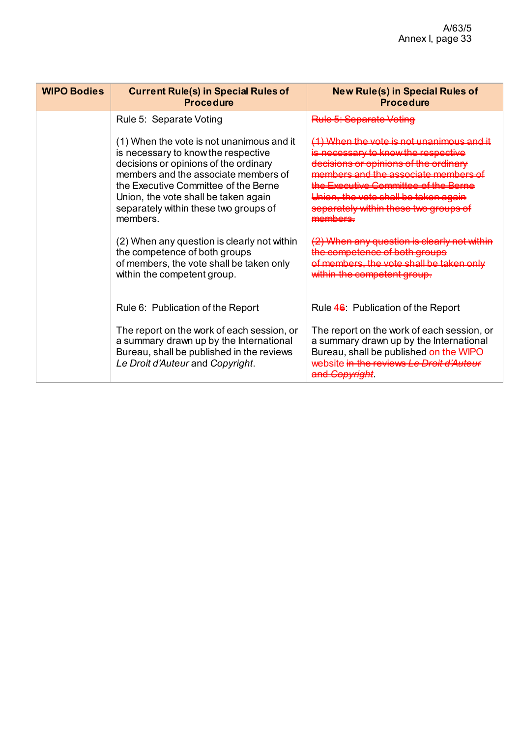| <b>WIPO Bodies</b> | <b>Current Rule(s) in Special Rules of</b><br><b>Procedure</b>                                                                                                                                                                                                                                         | <b>New Rule(s) in Special Rules of</b><br><b>Procedure</b>                                                                                                                                                                                                                                                    |
|--------------------|--------------------------------------------------------------------------------------------------------------------------------------------------------------------------------------------------------------------------------------------------------------------------------------------------------|---------------------------------------------------------------------------------------------------------------------------------------------------------------------------------------------------------------------------------------------------------------------------------------------------------------|
|                    | Rule 5: Separate Voting                                                                                                                                                                                                                                                                                | <del>Rule 5: Separate Voting</del>                                                                                                                                                                                                                                                                            |
|                    | (1) When the vote is not unanimous and it<br>is necessary to know the respective<br>decisions or opinions of the ordinary<br>members and the associate members of<br>the Executive Committee of the Berne<br>Union, the vote shall be taken again<br>separately within these two groups of<br>members. | <del>(1) When the vote is not unanimous and it</del><br>necessary to know the respective<br>decisions or opinions of the ordinary<br>members and the associate members of<br>the Executive Committee of the Berne<br>Union, the vote shall be taken again<br>separately within these two groups of<br>membere |
|                    | (2) When any question is clearly not within<br>the competence of both groups<br>of members, the vote shall be taken only<br>within the competent group.                                                                                                                                                | <del>(2) When any question is clearly not within</del><br>the competence of both groups<br><del>of members, the vote shall be taken only</del><br>within the competent group.                                                                                                                                 |
|                    | Rule 6: Publication of the Report                                                                                                                                                                                                                                                                      | Rule 46: Publication of the Report                                                                                                                                                                                                                                                                            |
|                    | The report on the work of each session, or<br>a summary drawn up by the International<br>Bureau, shall be published in the reviews<br>Le Droit d'Auteur and Copyright.                                                                                                                                 | The report on the work of each session, or<br>a summary drawn up by the International<br>Bureau, shall be published on the WIPO<br>website in the reviews Le Droit d'Auteur<br><del>and Copyright</del>                                                                                                       |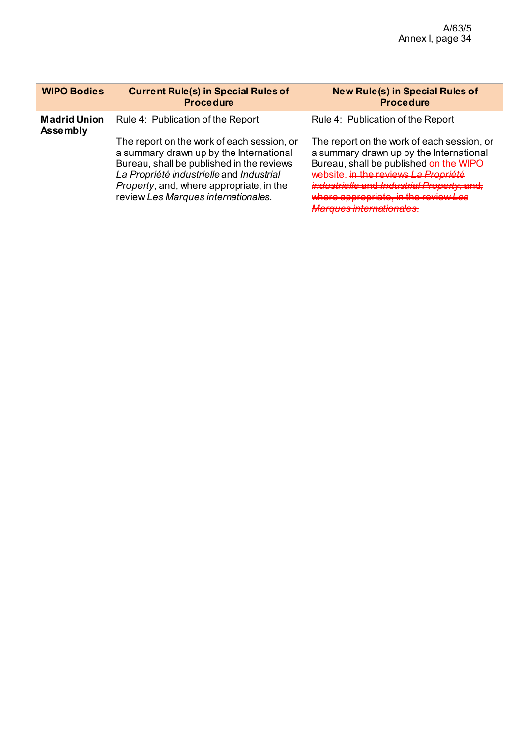| <b>WIPO Bodies</b>                     | <b>Current Rule(s) in Special Rules of</b><br><b>Procedure</b>                                                                                                                                                                                                                                                 | <b>New Rule(s) in Special Rules of</b><br><b>Procedure</b>                                                                                                                                                                                                                                  |
|----------------------------------------|----------------------------------------------------------------------------------------------------------------------------------------------------------------------------------------------------------------------------------------------------------------------------------------------------------------|---------------------------------------------------------------------------------------------------------------------------------------------------------------------------------------------------------------------------------------------------------------------------------------------|
| <b>Madrid Union</b><br><b>Assembly</b> | Rule 4: Publication of the Report<br>The report on the work of each session, or<br>a summary drawn up by the International<br>Bureau, shall be published in the reviews<br>La Propriété industrielle and Industrial<br><i>Property</i> , and, where appropriate, in the<br>review Les Marques internationales. | Rule 4: Publication of the Report<br>The report on the work of each session, or<br>a summary drawn up by the International<br>Bureau, shall be published on the WIPO<br>website. in the reviews La Propriété<br>ndustrielle and Industrial Property, and,<br><u>Aarques internationales</u> |
|                                        |                                                                                                                                                                                                                                                                                                                |                                                                                                                                                                                                                                                                                             |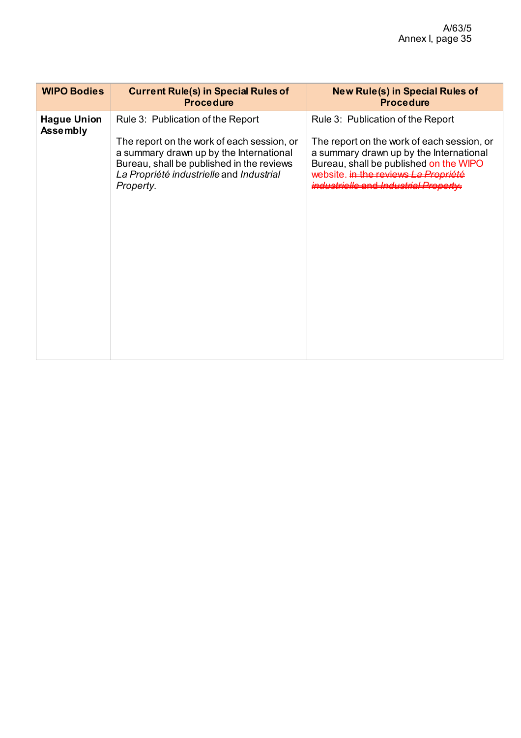| <b>WIPO Bodies</b>                    | <b>Current Rule(s) in Special Rules of</b><br><b>Procedure</b>                                                                                                                                                                   | <b>New Rule(s) in Special Rules of</b><br><b>Procedure</b>                                                                                                                                                                                            |
|---------------------------------------|----------------------------------------------------------------------------------------------------------------------------------------------------------------------------------------------------------------------------------|-------------------------------------------------------------------------------------------------------------------------------------------------------------------------------------------------------------------------------------------------------|
| <b>Hague Union</b><br><b>Assembly</b> | Rule 3: Publication of the Report<br>The report on the work of each session, or<br>a summary drawn up by the International<br>Bureau, shall be published in the reviews<br>La Propriété industrielle and Industrial<br>Property. | Rule 3: Publication of the Report<br>The report on the work of each session, or<br>a summary drawn up by the International<br>Bureau, shall be published on the WIPO<br>website. in the reviews La Propriété<br>industrielle and Industrial Property. |
|                                       |                                                                                                                                                                                                                                  |                                                                                                                                                                                                                                                       |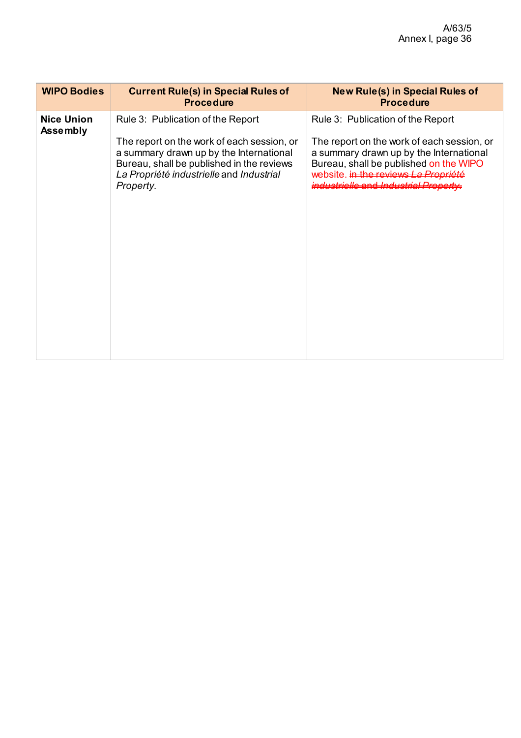| <b>WIPO Bodies</b>                   | <b>Current Rule(s) in Special Rules of</b><br><b>Procedure</b>                                                                                                                                                                   | <b>New Rule(s) in Special Rules of</b><br><b>Procedure</b>                                                                                                                                                                                            |
|--------------------------------------|----------------------------------------------------------------------------------------------------------------------------------------------------------------------------------------------------------------------------------|-------------------------------------------------------------------------------------------------------------------------------------------------------------------------------------------------------------------------------------------------------|
| <b>Nice Union</b><br><b>Assembly</b> | Rule 3: Publication of the Report<br>The report on the work of each session, or<br>a summary drawn up by the International<br>Bureau, shall be published in the reviews<br>La Propriété industrielle and Industrial<br>Property. | Rule 3: Publication of the Report<br>The report on the work of each session, or<br>a summary drawn up by the International<br>Bureau, shall be published on the WIPO<br>website. in the reviews La Propriété<br>industrielle and Industrial Property. |
|                                      |                                                                                                                                                                                                                                  |                                                                                                                                                                                                                                                       |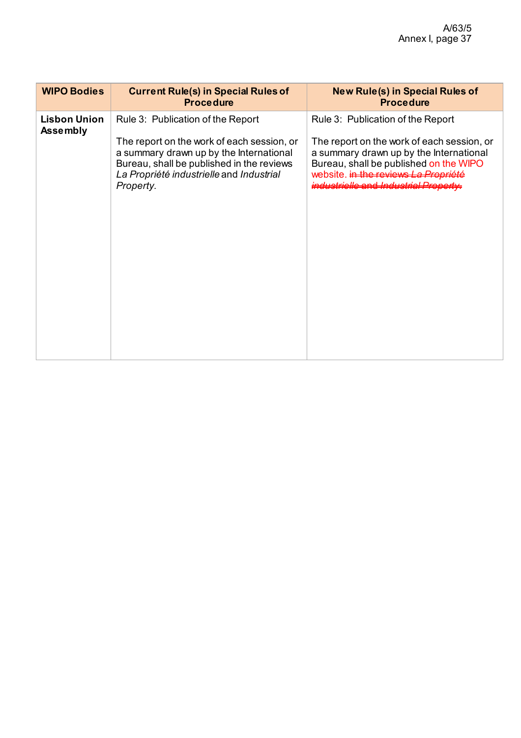| <b>WIPO Bodies</b>                     | <b>Current Rule(s) in Special Rules of</b><br><b>Procedure</b>                                                                                                                                                                   | <b>New Rule(s) in Special Rules of</b><br><b>Procedure</b>                                                                                                                                                                                                       |
|----------------------------------------|----------------------------------------------------------------------------------------------------------------------------------------------------------------------------------------------------------------------------------|------------------------------------------------------------------------------------------------------------------------------------------------------------------------------------------------------------------------------------------------------------------|
| <b>Lisbon Union</b><br><b>Assembly</b> | Rule 3: Publication of the Report<br>The report on the work of each session, or<br>a summary drawn up by the International<br>Bureau, shall be published in the reviews<br>La Propriété industrielle and Industrial<br>Property. | Rule 3: Publication of the Report<br>The report on the work of each session, or<br>a summary drawn up by the International<br>Bureau, shall be published on the WIPO<br>website. in the reviews La Propriété<br><del>industrielle and Industrial Property.</del> |
|                                        |                                                                                                                                                                                                                                  |                                                                                                                                                                                                                                                                  |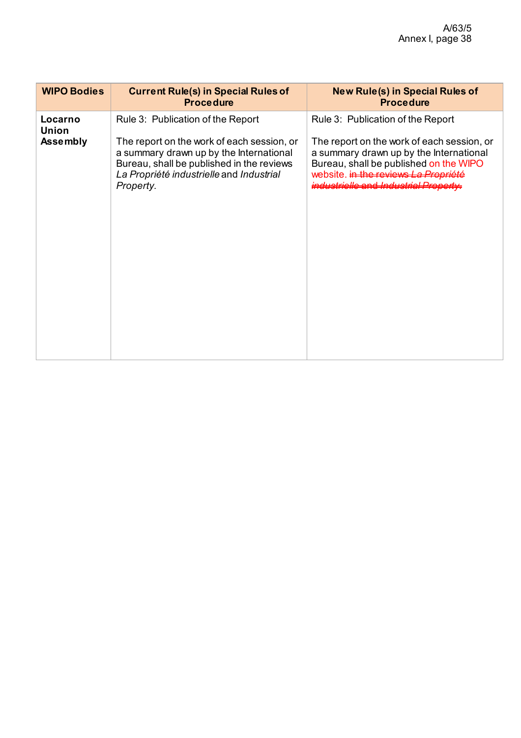| <b>WIPO Bodies</b>                  | <b>Current Rule(s) in Special Rules of</b><br><b>Procedure</b>                                                                                                                                                                   | <b>New Rule(s) in Special Rules of</b><br><b>Procedure</b>                                                                                                                                                                                  |
|-------------------------------------|----------------------------------------------------------------------------------------------------------------------------------------------------------------------------------------------------------------------------------|---------------------------------------------------------------------------------------------------------------------------------------------------------------------------------------------------------------------------------------------|
| Locarno<br><b>Union</b><br>Assembly | Rule 3: Publication of the Report<br>The report on the work of each session, or<br>a summary drawn up by the International<br>Bureau, shall be published in the reviews<br>La Propriété industrielle and Industrial<br>Property. | Rule 3: Publication of the Report<br>The report on the work of each session, or<br>a summary drawn up by the International<br>Bureau, shall be published on the WIPO<br>website. in the reviews La<br>industrielle and Industrial Property. |
|                                     |                                                                                                                                                                                                                                  |                                                                                                                                                                                                                                             |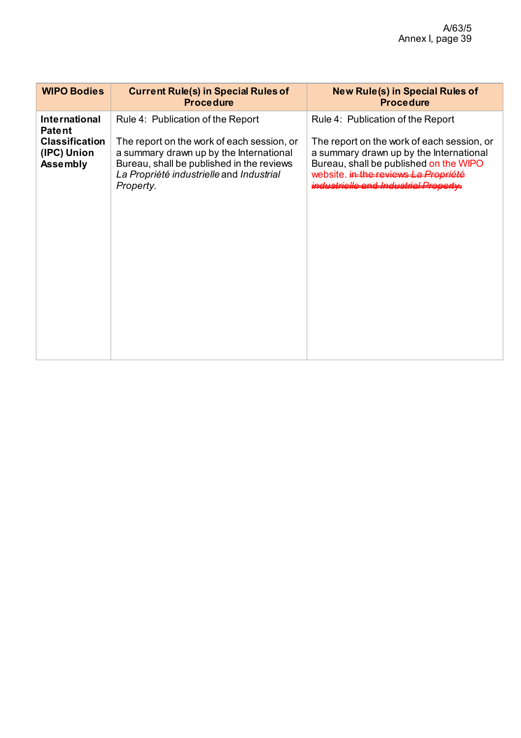| <b>WIPO Bodies</b>                                                                               | <b>Current Rule(s) in Special Rules of</b><br><b>Procedure</b>                                                                                                                                                                   | <b>New Rule(s) in Special Rules of</b><br><b>Procedure</b>                                                                                                                                                                                                  |
|--------------------------------------------------------------------------------------------------|----------------------------------------------------------------------------------------------------------------------------------------------------------------------------------------------------------------------------------|-------------------------------------------------------------------------------------------------------------------------------------------------------------------------------------------------------------------------------------------------------------|
| <b>International</b><br><b>Patent</b><br><b>Classification</b><br>(IPC) Union<br><b>Assembly</b> | Rule 4: Publication of the Report<br>The report on the work of each session, or<br>a summary drawn up by the International<br>Bureau, shall be published in the reviews<br>La Propriété industrielle and Industrial<br>Property. | Rule 4: Publication of the Report<br>The report on the work of each session, or<br>a summary drawn up by the International<br>Bureau, shall be published on the WIPO<br>website. in the reviews La Pro<br>industrielle and Industrial Property <del>.</del> |
|                                                                                                  |                                                                                                                                                                                                                                  |                                                                                                                                                                                                                                                             |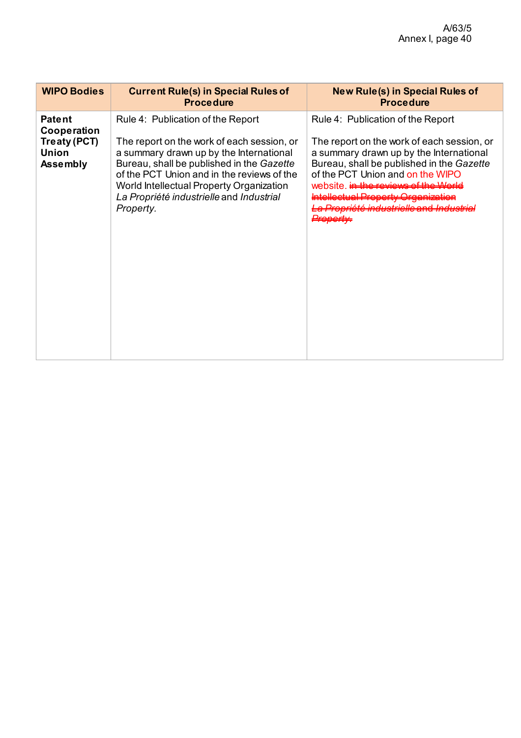| <b>WIPO Bodies</b>                                                              | <b>Current Rule(s) in Special Rules of</b><br><b>Procedure</b>                                                                                                                                                                                                                                                             | <b>New Rule(s) in Special Rules of</b><br><b>Procedure</b>                                                                                                                                                                                                                                                                                    |
|---------------------------------------------------------------------------------|----------------------------------------------------------------------------------------------------------------------------------------------------------------------------------------------------------------------------------------------------------------------------------------------------------------------------|-----------------------------------------------------------------------------------------------------------------------------------------------------------------------------------------------------------------------------------------------------------------------------------------------------------------------------------------------|
| <b>Patent</b><br>Cooperation<br>Treaty (PCT)<br><b>Union</b><br><b>Assembly</b> | Rule 4: Publication of the Report<br>The report on the work of each session, or<br>a summary drawn up by the International<br>Bureau, shall be published in the Gazette<br>of the PCT Union and in the reviews of the<br>World Intellectual Property Organization<br>La Propriété industrielle and Industrial<br>Property. | Rule 4: Publication of the Report<br>The report on the work of each session, or<br>a summary drawn up by the International<br>Bureau, shall be published in the Gazette<br>of the PCT Union and on the WIPO<br>website, in the reviews of the World<br><del>Intellectual Property Organization</del><br>Propriété industrielle and Industrial |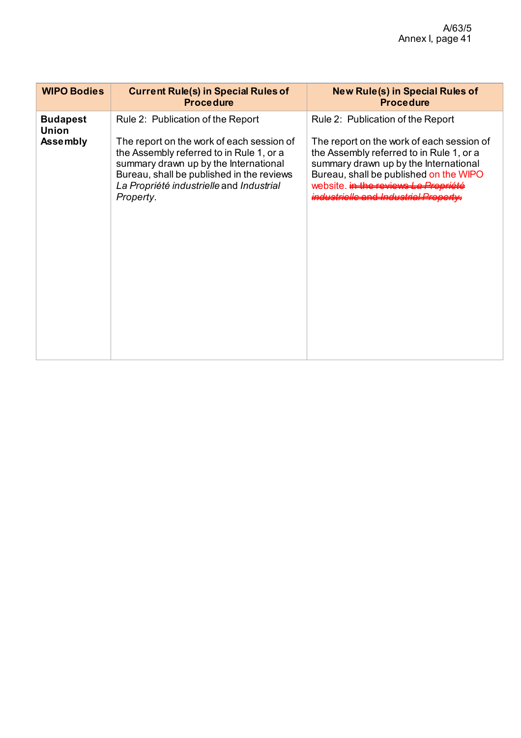| <b>WIPO Bodies</b>              | <b>Current Rule(s) in Special Rules of</b><br><b>Procedure</b>                                                                                                                                                                       | <b>New Rule(s) in Special Rules of</b><br><b>Procedure</b>                                                                                                                                                                                                      |
|---------------------------------|--------------------------------------------------------------------------------------------------------------------------------------------------------------------------------------------------------------------------------------|-----------------------------------------------------------------------------------------------------------------------------------------------------------------------------------------------------------------------------------------------------------------|
| <b>Budapest</b><br><b>Union</b> | Rule 2: Publication of the Report                                                                                                                                                                                                    | Rule 2: Publication of the Report                                                                                                                                                                                                                               |
| <b>Assembly</b>                 | The report on the work of each session of<br>the Assembly referred to in Rule 1, or a<br>summary drawn up by the International<br>Bureau, shall be published in the reviews<br>La Propriété industrielle and Industrial<br>Property. | The report on the work of each session of<br>the Assembly referred to in Rule 1, or a<br>summary drawn up by the International<br>Bureau, shall be published on the WIPO<br>website, <del>in the reviews La Propriété</del><br>inductriolle and Inductrial Pren |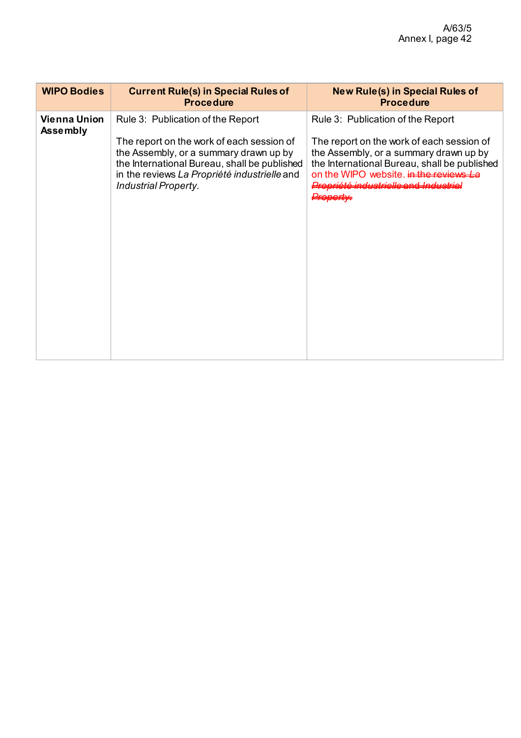| <b>WIPO Bodies</b>                     | <b>Current Rule(s) in Special Rules of</b><br><b>Procedure</b>                                                                                                                                                     | <b>New Rule(s) in Special Rules of</b><br><b>Procedure</b>                                                                                                                                                             |
|----------------------------------------|--------------------------------------------------------------------------------------------------------------------------------------------------------------------------------------------------------------------|------------------------------------------------------------------------------------------------------------------------------------------------------------------------------------------------------------------------|
| <b>Vienna Union</b><br><b>Assembly</b> | Rule 3: Publication of the Report                                                                                                                                                                                  | Rule 3: Publication of the Report                                                                                                                                                                                      |
|                                        | The report on the work of each session of<br>the Assembly, or a summary drawn up by<br>the International Bureau, shall be published<br>in the reviews La Propriété industrielle and<br><b>Industrial Property.</b> | The report on the work of each session of<br>the Assembly, or a summary drawn up by<br>the International Bureau, shall be published<br>on the WIPO website, in the reviews La<br>Propriété industrielle and Industrial |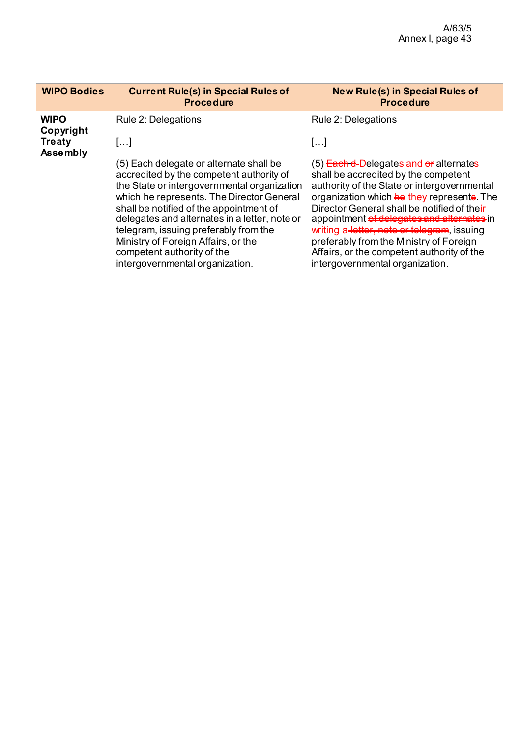| <b>WIPO Bodies</b>                                    | <b>Current Rule(s) in Special Rules of</b><br><b>Procedure</b>                                                                                                                                                                                                                                                                                                                                                                                            | <b>New Rule(s) in Special Rules of</b><br><b>Procedure</b>                                                                                                                                                                                                                                                                                                                                                                                                                              |
|-------------------------------------------------------|-----------------------------------------------------------------------------------------------------------------------------------------------------------------------------------------------------------------------------------------------------------------------------------------------------------------------------------------------------------------------------------------------------------------------------------------------------------|-----------------------------------------------------------------------------------------------------------------------------------------------------------------------------------------------------------------------------------------------------------------------------------------------------------------------------------------------------------------------------------------------------------------------------------------------------------------------------------------|
| <b>WIPO</b><br>Copyright<br><b>Treaty</b><br>Assembly | Rule 2: Delegations<br>[]<br>(5) Each delegate or alternate shall be<br>accredited by the competent authority of<br>the State or intergovernmental organization<br>which he represents. The Director General<br>shall be notified of the appointment of<br>delegates and alternates in a letter, note or<br>telegram, issuing preferably from the<br>Ministry of Foreign Affairs, or the<br>competent authority of the<br>intergovernmental organization. | Rule 2: Delegations<br>[]<br>$(5)$ Each-d-Delegates and $e\neq$ alternates<br>shall be accredited by the competent<br>authority of the State or intergovernmental<br>organization which he they represente. The<br>Director General shall be notified of their<br>appointment of delegates and alternates in<br>writing a-letter, note or telegram, issuing<br>preferably from the Ministry of Foreign<br>Affairs, or the competent authority of the<br>intergovernmental organization. |
|                                                       |                                                                                                                                                                                                                                                                                                                                                                                                                                                           |                                                                                                                                                                                                                                                                                                                                                                                                                                                                                         |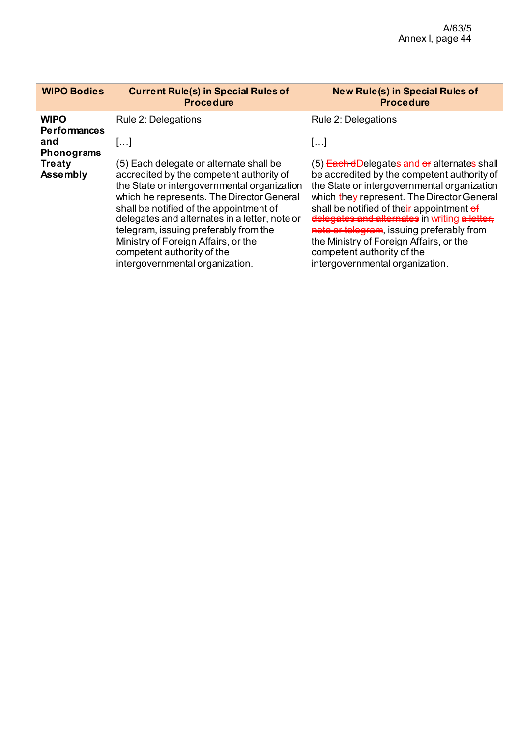| <b>WIPO Bodies</b>                                                                          | <b>Current Rule(s) in Special Rules of</b><br><b>Procedure</b>                                                                                                                                                                                                                                                                                                                                                                                            | <b>New Rule(s) in Special Rules of</b><br><b>Procedure</b>                                                                                                                                                                                                                                                                                                                                                                                                                    |
|---------------------------------------------------------------------------------------------|-----------------------------------------------------------------------------------------------------------------------------------------------------------------------------------------------------------------------------------------------------------------------------------------------------------------------------------------------------------------------------------------------------------------------------------------------------------|-------------------------------------------------------------------------------------------------------------------------------------------------------------------------------------------------------------------------------------------------------------------------------------------------------------------------------------------------------------------------------------------------------------------------------------------------------------------------------|
| <b>WIPO</b><br><b>Performances</b><br>and<br>Phonograms<br><b>Treaty</b><br><b>Assembly</b> | Rule 2: Delegations<br>[]<br>(5) Each delegate or alternate shall be<br>accredited by the competent authority of<br>the State or intergovernmental organization<br>which he represents. The Director General<br>shall be notified of the appointment of<br>delegates and alternates in a letter, note or<br>telegram, issuing preferably from the<br>Ministry of Foreign Affairs, or the<br>competent authority of the<br>intergovernmental organization. | Rule 2: Delegations<br>[]<br>$(5)$ Each dDelegates and of alternates shall<br>be accredited by the competent authority of<br>the State or intergovernmental organization<br>which they represent. The Director General<br>shall be notified of their appointment of<br>delegates and alternates in writing a letter,<br>note or telegram, issuing preferably from<br>the Ministry of Foreign Affairs, or the<br>competent authority of the<br>intergovernmental organization. |
|                                                                                             |                                                                                                                                                                                                                                                                                                                                                                                                                                                           |                                                                                                                                                                                                                                                                                                                                                                                                                                                                               |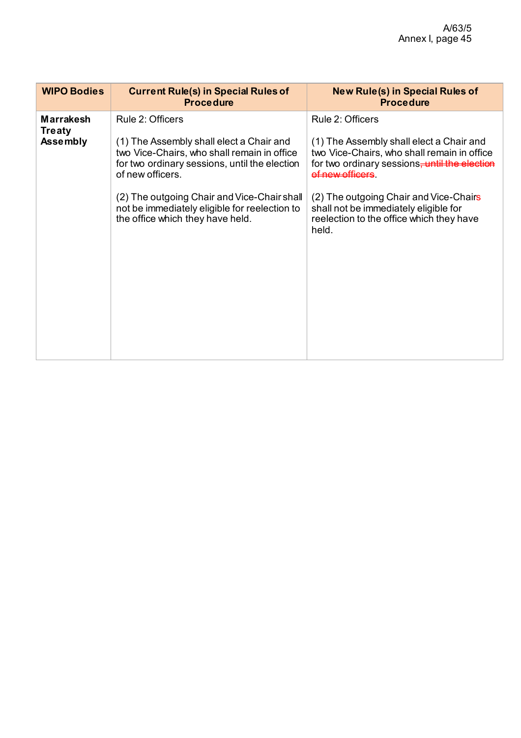| <b>WIPO Bodies</b>                | <b>Current Rule(s) in Special Rules of</b><br><b>Procedure</b>                                                                                               | <b>New Rule(s) in Special Rules of</b><br><b>Procedure</b>                                                                                                              |
|-----------------------------------|--------------------------------------------------------------------------------------------------------------------------------------------------------------|-------------------------------------------------------------------------------------------------------------------------------------------------------------------------|
| <b>Marrakesh</b><br><b>Treaty</b> | Rule 2: Officers                                                                                                                                             | Rule 2: Officers                                                                                                                                                        |
| <b>Assembly</b>                   | (1) The Assembly shall elect a Chair and<br>two Vice-Chairs, who shall remain in office<br>for two ordinary sessions, until the election<br>of new officers. | (1) The Assembly shall elect a Chair and<br>two Vice-Chairs, who shall remain in office<br>for two ordinary sessions <del>, until the election</del><br>af new afficere |
|                                   | (2) The outgoing Chair and Vice-Chair shall<br>not be immediately eligible for reelection to<br>the office which they have held.                             | (2) The outgoing Chair and Vice-Chairs<br>shall not be immediately eligible for<br>reelection to the office which they have<br>held.                                    |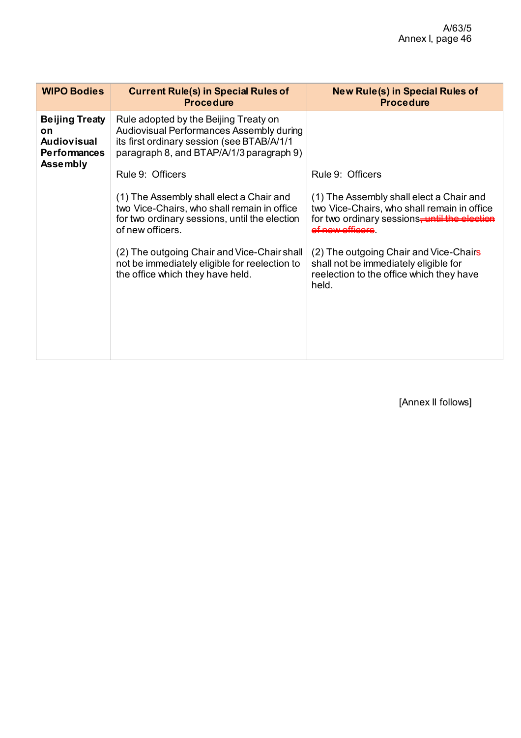| <b>WIPO Bodies</b>                                                                          | <b>Current Rule(s) in Special Rules of</b><br><b>Procedure</b>                                                                                                              | <b>New Rule(s) in Special Rules of</b><br><b>Procedure</b>                                                                                                                        |
|---------------------------------------------------------------------------------------------|-----------------------------------------------------------------------------------------------------------------------------------------------------------------------------|-----------------------------------------------------------------------------------------------------------------------------------------------------------------------------------|
| <b>Beijing Treaty</b><br>on<br><b>Audiovisual</b><br><b>Performances</b><br><b>Assembly</b> | Rule adopted by the Beijing Treaty on<br>Audiovisual Performances Assembly during<br>its first ordinary session (see BTAB/A/1/1<br>paragraph 8, and BTAP/A/1/3 paragraph 9) |                                                                                                                                                                                   |
|                                                                                             | Rule 9: Officers                                                                                                                                                            | Rule 9: Officers                                                                                                                                                                  |
|                                                                                             | (1) The Assembly shall elect a Chair and<br>two Vice-Chairs, who shall remain in office<br>for two ordinary sessions, until the election<br>of new officers.                | (1) The Assembly shall elect a Chair and<br>two Vice-Chairs, who shall remain in office<br>for two ordinary sessions <del>, until the election</del><br><del>t new officere</del> |
|                                                                                             | (2) The outgoing Chair and Vice-Chair shall<br>not be immediately eligible for reelection to<br>the office which they have held.                                            | (2) The outgoing Chair and Vice-Chairs<br>shall not be immediately eligible for<br>reelection to the office which they have<br>held.                                              |

[Annex II follows]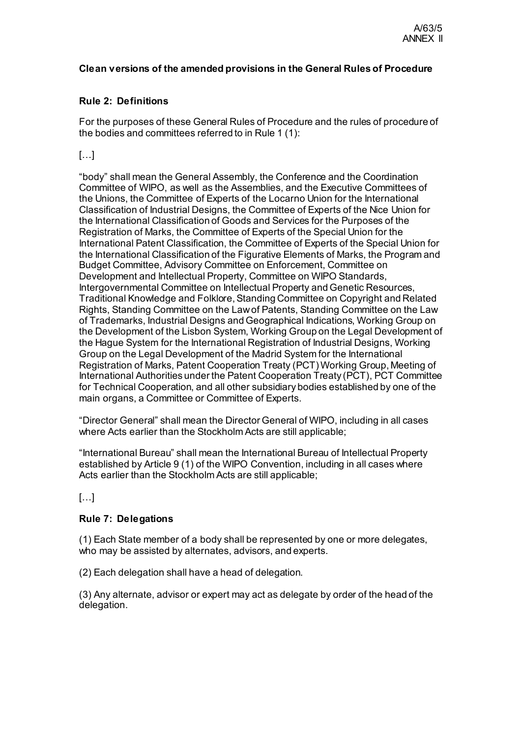## **Clean versions of the amended provisions in the General Rules of Procedure**

# **Rule 2: Definitions**

For the purposes of these General Rules of Procedure and the rules of procedure of the bodies and committees referred to in Rule 1 (1):

# $[...]$

"body" shall mean the General Assembly, the Conference and the Coordination Committee of WIPO, as well as the Assemblies, and the Executive Committees of the Unions, the Committee of Experts of the Locarno Union for the International Classification of Industrial Designs, the Committee of Experts of the Nice Union for the International Classification of Goods and Services for the Purposes of the Registration of Marks, the Committee of Experts of the Special Union for the International Patent Classification, the Committee of Experts of the Special Union for the International Classification of the Figurative Elements of Marks, the Program and Budget Committee, Advisory Committee on Enforcement, Committee on Development and Intellectual Property, Committee on WIPO Standards, Intergovernmental Committee on Intellectual Property and Genetic Resources, Traditional Knowledge and Folklore, Standing Committee on Copyright and Related Rights, Standing Committee on the Law of Patents, Standing Committee on the Law of Trademarks, Industrial Designs and Geographical Indications, Working Group on the Development of the Lisbon System, Working Group on the Legal Development of the Hague System for the International Registration of Industrial Designs, Working Group on the Legal Development of the Madrid System for the International Registration of Marks, Patent Cooperation Treaty (PCT) Working Group, Meeting of International Authorities under the Patent Cooperation Treaty (PCT), PCT Committee for Technical Cooperation, and all other subsidiary bodies established by one of the main organs, a Committee or Committee of Experts.

"Director General" shall mean the Director General of WIPO, including in all cases where Acts earlier than the Stockholm Acts are still applicable;

"International Bureau" shall mean the International Bureau of Intellectual Property established by Article 9 (1) of the WIPO Convention, including in all cases where Acts earlier than the Stockholm Acts are still applicable;

[…]

# **Rule 7: Delegations**

(1) Each State member of a body shall be represented by one or more delegates, who may be assisted by alternates, advisors, and experts.

(2) Each delegation shall have a head of delegation.

(3) Any alternate, advisor or expert may act as delegate by order of the head of the delegation.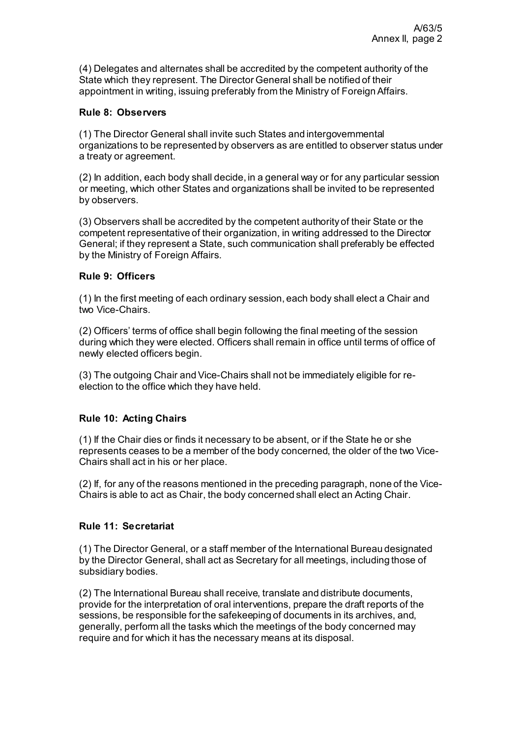(4) Delegates and alternates shall be accredited by the competent authority of the State which they represent. The Director General shall be notified of their appointment in writing, issuing preferably from the Ministry of Foreign Affairs.

## **Rule 8: Observers**

(1) The Director General shall invite such States and intergovernmental organizations to be represented by observers as are entitled to observer status under a treaty or agreement.

(2) In addition, each body shall decide, in a general way or for any particular session or meeting, which other States and organizations shall be invited to be represented by observers.

(3) Observers shall be accredited by the competent authority of their State or the competent representative of their organization, in writing addressed to the Director General; if they represent a State, such communication shall preferably be effected by the Ministry of Foreign Affairs.

# **Rule 9: Officers**

(1) In the first meeting of each ordinary session, each body shall elect a Chair and two Vice-Chairs.

(2) Officers' terms of office shall begin following the final meeting of the session during which they were elected. Officers shall remain in office until terms of office of newly elected officers begin.

(3) The outgoing Chair and Vice-Chairs shall not be immediately eligible for reelection to the office which they have held.

## **Rule 10: Acting Chairs**

(1) If the Chair dies or finds it necessary to be absent, or if the State he or she represents ceases to be a member of the body concerned, the older of the two Vice-Chairs shall act in his or her place.

(2) If, for any of the reasons mentioned in the preceding paragraph, none of the Vice-Chairs is able to act as Chair, the body concerned shall elect an Acting Chair.

# **Rule 11: Secretariat**

(1) The Director General, or a staff member of the International Bureau designated by the Director General, shall act as Secretary for all meetings, including those of subsidiary bodies.

(2) The International Bureau shall receive, translate and distribute documents, provide for the interpretation of oral interventions, prepare the draft reports of the sessions, be responsible for the safekeeping of documents in its archives, and, generally, perform all the tasks which the meetings of the body concerned may require and for which it has the necessary means at its disposal.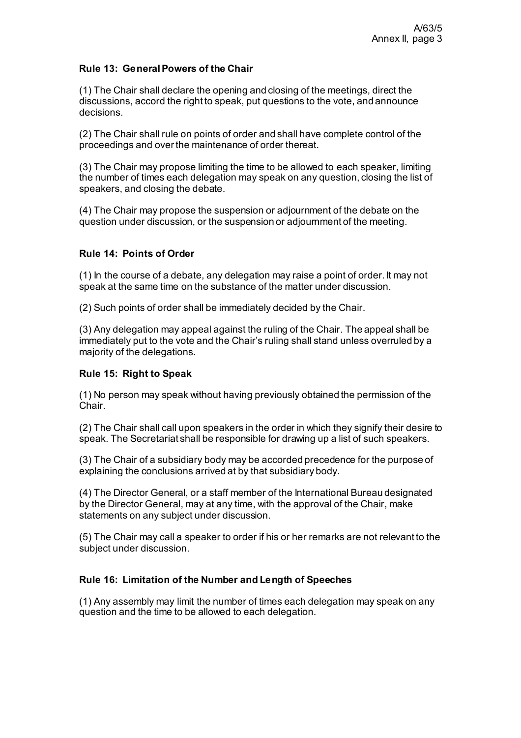# **Rule 13: General Powers of the Chair**

(1) The Chair shall declare the opening and closing of the meetings, direct the discussions, accord the right to speak, put questions to the vote, and announce decisions.

(2) The Chair shall rule on points of order and shall have complete control of the proceedings and over the maintenance of order thereat.

(3) The Chair may propose limiting the time to be allowed to each speaker, limiting the number of times each delegation may speak on any question, closing the list of speakers, and closing the debate.

(4) The Chair may propose the suspension or adjournment of the debate on the question under discussion, or the suspension or adjournment of the meeting.

# **Rule 14: Points of Order**

(1) In the course of a debate, any delegation may raise a point of order. It may not speak at the same time on the substance of the matter under discussion.

(2) Such points of order shall be immediately decided by the Chair.

(3) Any delegation may appeal against the ruling of the Chair. The appeal shall be immediately put to the vote and the Chair's ruling shall stand unless overruled by a majority of the delegations.

## **Rule 15: Right to Speak**

(1) No person may speak without having previously obtained the permission of the **Chair** 

(2) The Chair shall call upon speakers in the order in which they signify their desire to speak. The Secretariat shall be responsible for drawing up a list of such speakers.

(3) The Chair of a subsidiary body may be accorded precedence for the purpose of explaining the conclusions arrived at by that subsidiary body.

(4) The Director General, or a staff member of the International Bureau designated by the Director General, may at any time, with the approval of the Chair, make statements on any subject under discussion.

(5) The Chair may call a speaker to order if his or her remarks are not relevant to the subject under discussion.

## **Rule 16: Limitation of the Number and Length of Speeches**

(1) Any assembly may limit the number of times each delegation may speak on any question and the time to be allowed to each delegation.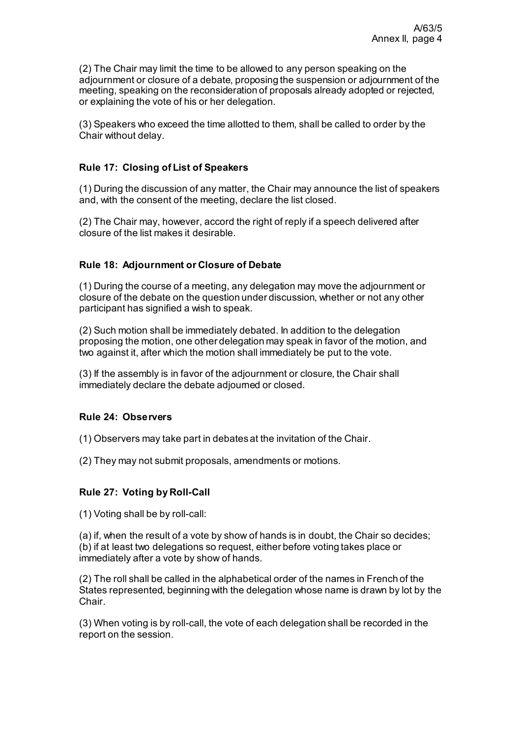(2) The Chair may limit the time to be allowed to any person speaking on the adjournment or closure of a debate, proposing the suspension or adjournment of the meeting, speaking on the reconsideration of proposals already adopted or rejected, or explaining the vote of his or her delegation.

(3) Speakers who exceed the time allotted to them, shall be called to order by the Chair without delay.

# **Rule 17: Closing of List of Speakers**

(1) During the discussion of any matter, the Chair may announce the list of speakers and, with the consent of the meeting, declare the list closed.

(2) The Chair may, however, accord the right of reply if a speech delivered after closure of the list makes it desirable.

## **Rule 18: Adjournment or Closure of Debate**

(1) During the course of a meeting, any delegation may move the adjournment or closure of the debate on the question under discussion, whether or not any other participant has signified a wish to speak.

(2) Such motion shall be immediately debated. In addition to the delegation proposing the motion, one other delegation may speak in favor of the motion, and two against it, after which the motion shall immediately be put to the vote.

(3) If the assembly is in favor of the adjournment or closure, the Chair shall immediately declare the debate adjourned or closed.

### **Rule 24: Observers**

(1) Observers may take part in debates at the invitation of the Chair.

(2) They may not submit proposals, amendments or motions.

## **Rule 27: Voting by Roll-Call**

(1) Voting shall be by roll-call:

(a) if, when the result of a vote by show of hands is in doubt, the Chair so decides; (b) if at least two delegations so request, either before voting takes place or immediately after a vote by show of hands.

(2) The roll shall be called in the alphabetical order of the names in French of the States represented, beginning with the delegation whose name is drawn by lot by the Chair.

(3) When voting is by roll-call, the vote of each delegation shall be recorded in the report on the session.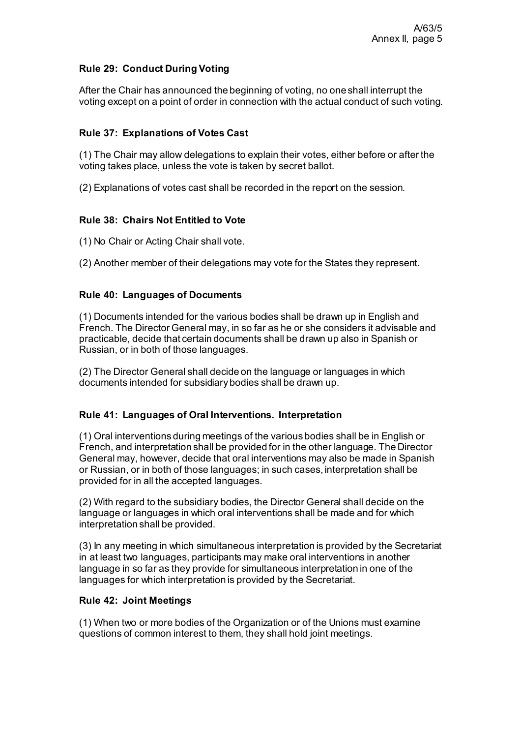# **Rule 29: Conduct During Voting**

After the Chair has announced the beginning of voting, no one shall interrupt the voting except on a point of order in connection with the actual conduct of such voting.

# **Rule 37: Explanations of Votes Cast**

(1) The Chair may allow delegations to explain their votes, either before or after the voting takes place, unless the vote is taken by secret ballot.

(2) Explanations of votes cast shall be recorded in the report on the session.

# **Rule 38: Chairs Not Entitled to Vote**

(1) No Chair or Acting Chair shall vote.

(2) Another member of their delegations may vote for the States they represent.

# **Rule 40: Languages of Documents**

(1) Documents intended for the various bodies shall be drawn up in English and French. The Director General may, in so far as he or she considers it advisable and practicable, decide that certain documents shall be drawn up also in Spanish or Russian, or in both of those languages.

(2) The Director General shall decide on the language or languages in which documents intended for subsidiary bodies shall be drawn up.

# **Rule 41: Languages of Oral Interventions. Interpretation**

(1) Oral interventions during meetings of the various bodies shall be in English or French, and interpretation shall be provided for in the other language. The Director General may, however, decide that oral interventions may also be made in Spanish or Russian, or in both of those languages; in such cases, interpretation shall be provided for in all the accepted languages.

(2) With regard to the subsidiary bodies, the Director General shall decide on the language or languages in which oral interventions shall be made and for which interpretation shall be provided.

(3) In any meeting in which simultaneous interpretation is provided by the Secretariat in at least two languages, participants may make oral interventions in another language in so far as they provide for simultaneous interpretation in one of the languages for which interpretation is provided by the Secretariat.

# **Rule 42: Joint Meetings**

(1) When two or more bodies of the Organization or of the Unions must examine questions of common interest to them, they shall hold joint meetings.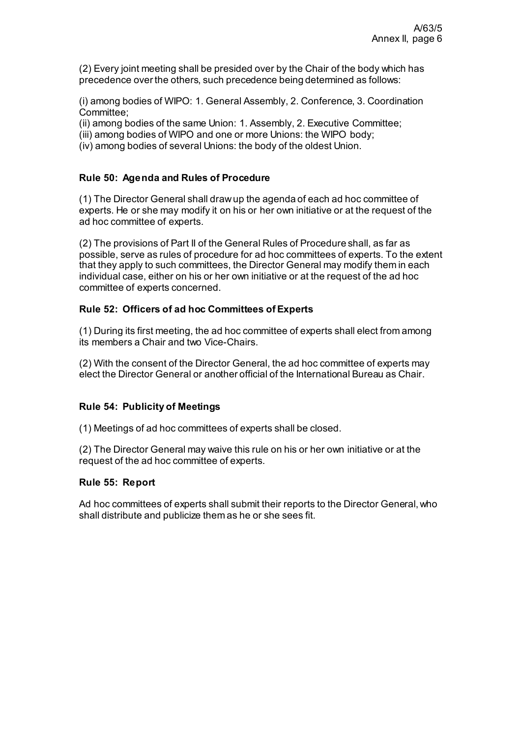(2) Every joint meeting shall be presided over by the Chair of the body which has precedence over the others, such precedence being determined as follows:

(i) among bodies of WIPO: 1. General Assembly, 2. Conference, 3. Coordination Committee;

(ii) among bodies of the same Union: 1. Assembly, 2. Executive Committee;

(iii) among bodies of WIPO and one or more Unions: the WIPO body;

(iv) among bodies of several Unions: the body of the oldest Union.

# **Rule 50: Agenda and Rules of Procedure**

(1) The Director General shall draw up the agenda of each ad hoc committee of experts. He or she may modify it on his or her own initiative or at the request of the ad hoc committee of experts.

(2) The provisions of Part II of the General Rules of Procedure shall, as far as possible, serve as rules of procedure for ad hoc committees of experts. To the extent that they apply to such committees, the Director General may modify them in each individual case, either on his or her own initiative or at the request of the ad hoc committee of experts concerned.

## **Rule 52: Officers of ad hoc Committees of Experts**

(1) During its first meeting, the ad hoc committee of experts shall elect from among its members a Chair and two Vice-Chairs.

(2) With the consent of the Director General, the ad hoc committee of experts may elect the Director General or another official of the International Bureau as Chair.

## **Rule 54: Publicity of Meetings**

(1) Meetings of ad hoc committees of experts shall be closed.

(2) The Director General may waive this rule on his or her own initiative or at the request of the ad hoc committee of experts.

## **Rule 55: Report**

Ad hoc committees of experts shall submit their reports to the Director General, who shall distribute and publicize them as he or she sees fit.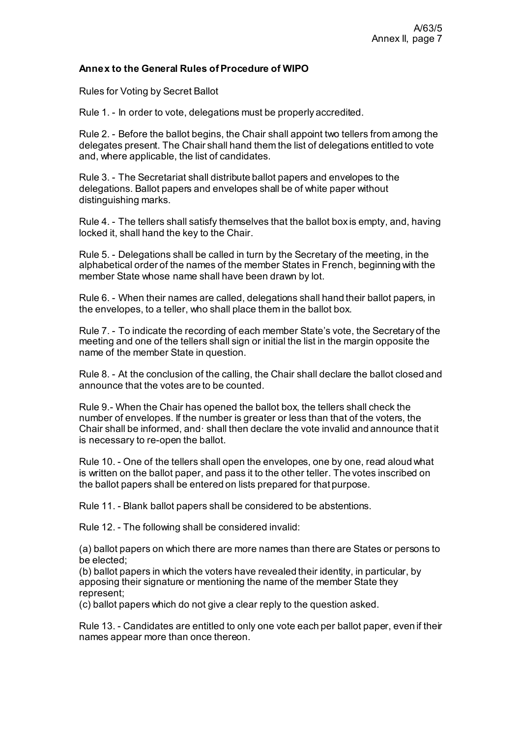## **Annex to the General Rules of Procedure of WIPO**

Rules for Voting by Secret Ballot

Rule 1. - In order to vote, delegations must be properly accredited.

Rule 2. - Before the ballot begins, the Chair shall appoint two tellers from among the delegates present. The Chair shall hand them the list of delegations entitled to vote and, where applicable, the list of candidates.

Rule 3. - The Secretariat shall distribute ballot papers and envelopes to the delegations. Ballot papers and envelopes shall be of white paper without distinguishing marks.

Rule 4. - The tellers shall satisfy themselves that the ballot box is empty, and, having locked it, shall hand the key to the Chair.

Rule 5. - Delegations shall be called in turn by the Secretary of the meeting, in the alphabetical order of the names of the member States in French, beginning with the member State whose name shall have been drawn by lot.

Rule 6. - When their names are called, delegations shall hand their ballot papers, in the envelopes, to a teller, who shall place them in the ballot box.

Rule 7. - To indicate the recording of each member State's vote, the Secretary of the meeting and one of the tellers shall sign or initial the list in the margin opposite the name of the member State in question.

Rule 8. - At the conclusion of the calling, the Chair shall declare the ballot closed and announce that the votes are to be counted.

Rule 9.- When the Chair has opened the ballot box, the tellers shall check the number of envelopes. If the number is greater or less than that of the voters, the Chair shall be informed, and· shall then declare the vote invalid and announce that it is necessary to re-open the ballot.

Rule 10. - One of the tellers shall open the envelopes, one by one, read aloud what is written on the ballot paper, and pass it to the other teller. The votes inscribed on the ballot papers shall be entered on lists prepared for that purpose.

Rule 11. - Blank ballot papers shall be considered to be abstentions.

Rule 12. - The following shall be considered invalid:

(a) ballot papers on which there are more names than there are States or persons to be elected;

(b) ballot papers in which the voters have revealed their identity, in particular, by apposing their signature or mentioning the name of the member State they represent;

(c) ballot papers which do not give a clear reply to the question asked.

Rule 13. - Candidates are entitled to only one vote each per ballot paper, even if their names appear more than once thereon.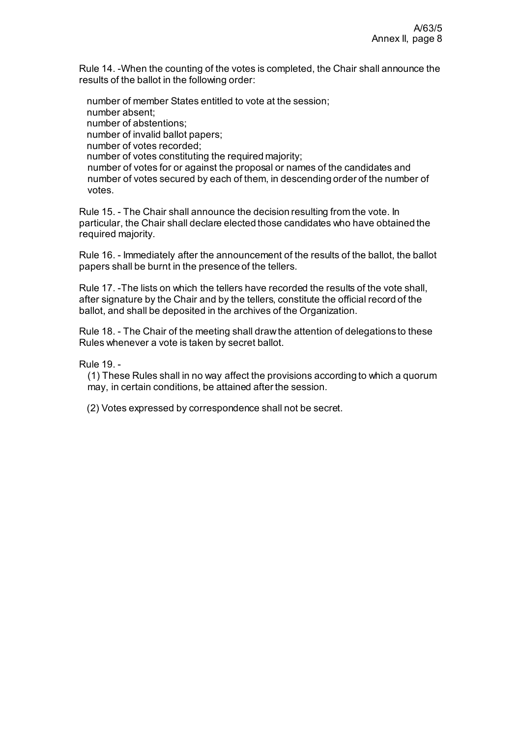Rule 14. -When the counting of the votes is completed, the Chair shall announce the results of the ballot in the following order:

number of member States entitled to vote at the session; number absent; number of abstentions; number of invalid ballot papers; number of votes recorded; number of votes constituting the required majority; number of votes for or against the proposal or names of the candidates and number of votes secured by each of them, in descending order of the number of votes.

Rule 15. - The Chair shall announce the decision resulting from the vote. In particular, the Chair shall declare elected those candidates who have obtained the required majority.

Rule 16. - Immediately after the announcement of the results of the ballot, the ballot papers shall be burnt in the presence of the tellers.

Rule 17. -The lists on which the tellers have recorded the results of the vote shall, after signature by the Chair and by the tellers, constitute the official record of the ballot, and shall be deposited in the archives of the Organization.

Rule 18. - The Chair of the meeting shall draw the attention of delegations to these Rules whenever a vote is taken by secret ballot.

Rule 19. -

(1) These Rules shall in no way affect the provisions according to which a quorum may, in certain conditions, be attained after the session.

(2) Votes expressed by correspondence shall not be secret.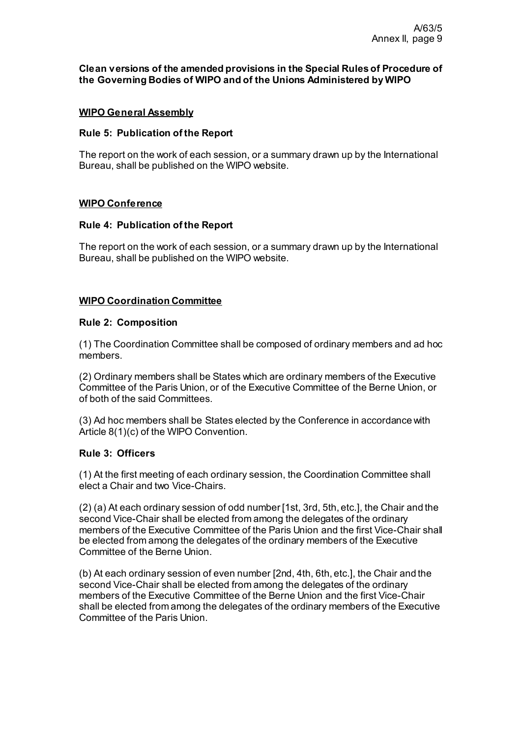#### **Clean versions of the amended provisions in the Special Rules of Procedure of the Governing Bodies of WIPO and of the Unions Administered by WIPO**

### **WIPO General Assembly**

#### **Rule 5: Publication of the Report**

The report on the work of each session, or a summary drawn up by the International Bureau, shall be published on the WIPO website.

#### **WIPO Conference**

#### **Rule 4: Publication of the Report**

The report on the work of each session, or a summary drawn up by the International Bureau, shall be published on the WIPO website.

#### **WIPO Coordination Committee**

#### **Rule 2: Composition**

(1) The Coordination Committee shall be composed of ordinary members and ad hoc members.

(2) Ordinary members shall be States which are ordinary members of the Executive Committee of the Paris Union, or of the Executive Committee of the Berne Union, or of both of the said Committees.

(3) Ad hoc members shall be States elected by the Conference in accordance with Article 8(1)(c) of the WIPO Convention.

## **Rule 3: Officers**

(1) At the first meeting of each ordinary session, the Coordination Committee shall elect a Chair and two Vice-Chairs.

(2) (a) At each ordinary session of odd number [1st, 3rd, 5th, etc.], the Chair and the second Vice-Chair shall be elected from among the delegates of the ordinary members of the Executive Committee of the Paris Union and the first Vice-Chair shall be elected from among the delegates of the ordinary members of the Executive Committee of the Berne Union.

(b) At each ordinary session of even number [2nd, 4th, 6th, etc.], the Chair and the second Vice-Chair shall be elected from among the delegates of the ordinary members of the Executive Committee of the Berne Union and the first Vice-Chair shall be elected from among the delegates of the ordinary members of the Executive Committee of the Paris Union.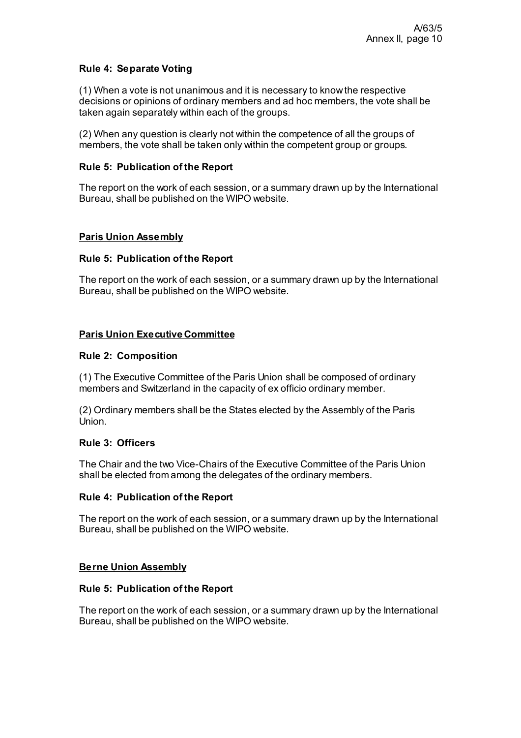# **Rule 4: Separate Voting**

(1) When a vote is not unanimous and it is necessary to know the respective decisions or opinions of ordinary members and ad hoc members, the vote shall be taken again separately within each of the groups.

(2) When any question is clearly not within the competence of all the groups of members, the vote shall be taken only within the competent group or groups.

## **Rule 5: Publication of the Report**

The report on the work of each session, or a summary drawn up by the International Bureau, shall be published on the WIPO website.

# **Paris Union Assembly**

# **Rule 5: Publication of the Report**

The report on the work of each session, or a summary drawn up by the International Bureau, shall be published on the WIPO website.

# **Paris Union Executive Committee**

## **Rule 2: Composition**

(1) The Executive Committee of the Paris Union shall be composed of ordinary members and Switzerland in the capacity of ex officio ordinary member.

(2) Ordinary members shall be the States elected by the Assembly of the Paris Union.

# **Rule 3: Officers**

The Chair and the two Vice-Chairs of the Executive Committee of the Paris Union shall be elected from among the delegates of the ordinary members.

## **Rule 4: Publication of the Report**

The report on the work of each session, or a summary drawn up by the International Bureau, shall be published on the WIPO website.

## **Berne Union Assembly**

## **Rule 5: Publication of the Report**

The report on the work of each session, or a summary drawn up by the International Bureau, shall be published on the WIPO website.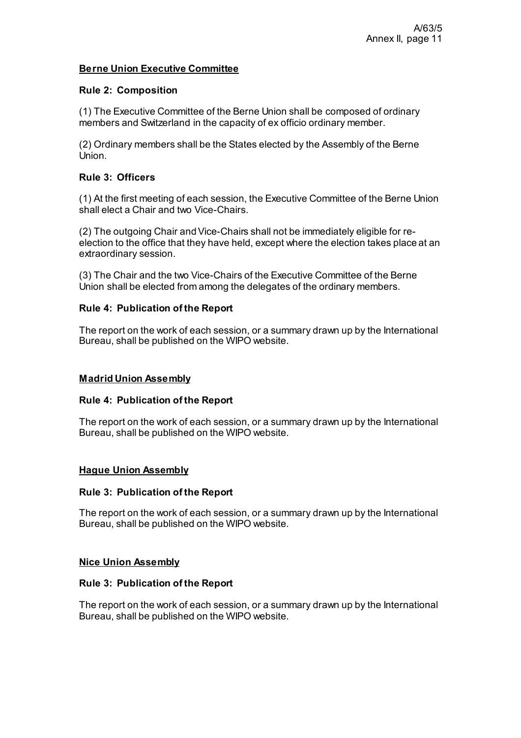# **Berne Union Executive Committee**

## **Rule 2: Composition**

(1) The Executive Committee of the Berne Union shall be composed of ordinary members and Switzerland in the capacity of ex officio ordinary member.

(2) Ordinary members shall be the States elected by the Assembly of the Berne Union.

# **Rule 3: Officers**

(1) At the first meeting of each session, the Executive Committee of the Berne Union shall elect a Chair and two Vice-Chairs.

(2) The outgoing Chair and Vice-Chairs shall not be immediately eligible for reelection to the office that they have held, except where the election takes place at an extraordinary session.

(3) The Chair and the two Vice-Chairs of the Executive Committee of the Berne Union shall be elected from among the delegates of the ordinary members.

## **Rule 4: Publication of the Report**

The report on the work of each session, or a summary drawn up by the International Bureau, shall be published on the WIPO website.

## **Madrid Union Assembly**

## **Rule 4: Publication of the Report**

The report on the work of each session, or a summary drawn up by the International Bureau, shall be published on the WIPO website.

## **Hague Union Assembly**

## **Rule 3: Publication of the Report**

The report on the work of each session, or a summary drawn up by the International Bureau, shall be published on the WIPO website.

#### **Nice Union Assembly**

## **Rule 3: Publication of the Report**

The report on the work of each session, or a summary drawn up by the International Bureau, shall be published on the WIPO website.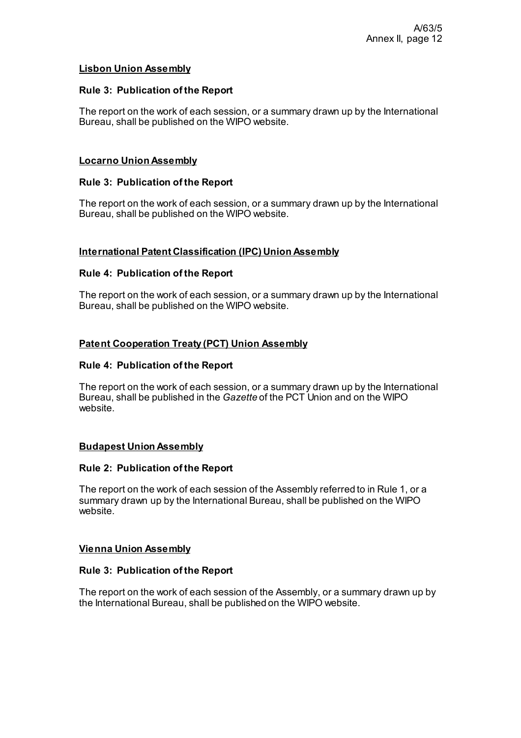## **Lisbon Union Assembly**

### **Rule 3: Publication of the Report**

The report on the work of each session, or a summary drawn up by the International Bureau, shall be published on the WIPO website.

## **Locarno Union Assembly**

#### **Rule 3: Publication of the Report**

The report on the work of each session, or a summary drawn up by the International Bureau, shall be published on the WIPO website.

#### **International Patent Classification (IPC) Union Assembly**

#### **Rule 4: Publication of the Report**

The report on the work of each session, or a summary drawn up by the International Bureau, shall be published on the WIPO website.

#### **Patent Cooperation Treaty (PCT) Union Assembly**

#### **Rule 4: Publication of the Report**

The report on the work of each session, or a summary drawn up by the International Bureau, shall be published in the *Gazette* of the PCT Union and on the WIPO website.

## **Budapest Union Assembly**

#### **Rule 2: Publication of the Report**

The report on the work of each session of the Assembly referred to in Rule 1, or a summary drawn up by the International Bureau, shall be published on the WIPO website.

#### **Vienna Union Assembly**

#### **Rule 3: Publication of the Report**

The report on the work of each session of the Assembly, or a summary drawn up by the International Bureau, shall be published on the WIPO website.